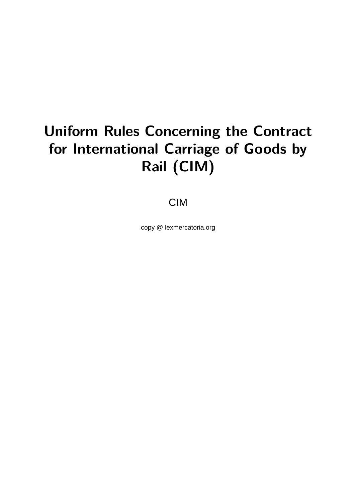# **Uniform Rules Concerning the Contract for International Carriage of Goods by Rail (CIM)**

CIM

copy @ lexmercatoria.org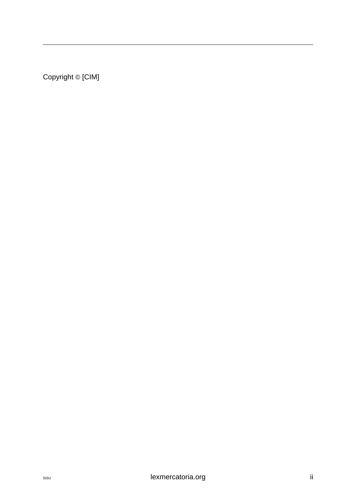Copyright © [CIM]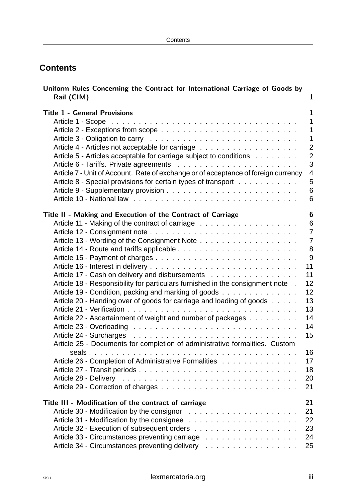# **Contents**

| Uniform Rules Concerning the Contract for International Carriage of Goods by<br>Rail (CIM) | 1              |
|--------------------------------------------------------------------------------------------|----------------|
| <b>Title 1 - General Provisions</b>                                                        | $\mathbf{1}$   |
|                                                                                            | $\mathbf{1}$   |
|                                                                                            | $\mathbf{1}$   |
|                                                                                            | $\mathbf{1}$   |
|                                                                                            | $\overline{c}$ |
| Article 5 - Articles acceptable for carriage subject to conditions                         | $\overline{2}$ |
|                                                                                            | 3              |
| Article 7 - Unit of Account. Rate of exchange or of acceptance of foreign currency         | $\overline{4}$ |
| Article 8 - Special provisions for certain types of transport                              | 5              |
|                                                                                            | 6              |
|                                                                                            | 6              |
|                                                                                            |                |
| Title II - Making and Execution of the Contract of Carriage                                | 6              |
|                                                                                            | 6              |
|                                                                                            | $\overline{7}$ |
|                                                                                            | $\overline{7}$ |
|                                                                                            | 8              |
|                                                                                            | 9              |
|                                                                                            | 11             |
| Article 17 - Cash on delivery and disbursements                                            | 11             |
| Article 18 - Responsibility for particulars furnished in the consignment note.             | 12             |
| Article 19 - Condition, packing and marking of goods                                       | 12             |
| Article 20 - Handing over of goods for carriage and loading of goods                       | 13             |
|                                                                                            | 13             |
| Article 22 - Ascertainment of weight and number of packages                                | 14             |
|                                                                                            | 14             |
|                                                                                            | 15             |
| Article 25 - Documents for completion of administrative formalities. Custom                |                |
|                                                                                            | 16             |
| Article 26 - Completion of Administrative Formalities                                      | 17             |
|                                                                                            | 18             |
|                                                                                            | 20             |
|                                                                                            | 21             |
|                                                                                            |                |
| Title III - Modification of the contract of carriage                                       | 21             |
|                                                                                            | 21             |
|                                                                                            | 22             |
|                                                                                            | 23             |
| Article 33 - Circumstances preventing carriage                                             | 24             |
| Article 34 - Circumstances preventing delivery                                             | 25             |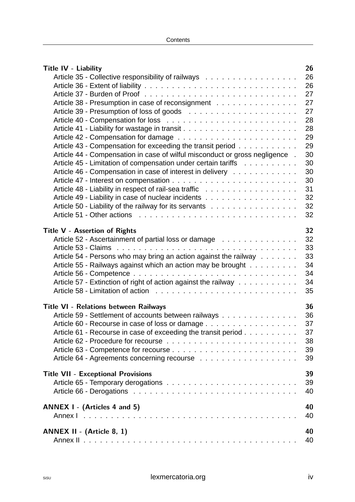| <b>Title IV - Liability</b>                                                                                                                                                                                                    | 26 |
|--------------------------------------------------------------------------------------------------------------------------------------------------------------------------------------------------------------------------------|----|
|                                                                                                                                                                                                                                | 26 |
|                                                                                                                                                                                                                                | 26 |
|                                                                                                                                                                                                                                | 27 |
| Article 38 - Presumption in case of reconsignment                                                                                                                                                                              | 27 |
|                                                                                                                                                                                                                                | 27 |
|                                                                                                                                                                                                                                | 28 |
|                                                                                                                                                                                                                                | 28 |
|                                                                                                                                                                                                                                | 29 |
| Article 43 - Compensation for exceeding the transit period                                                                                                                                                                     | 29 |
| Article 44 - Compensation in case of wilful misconduct or gross negligence .                                                                                                                                                   | 30 |
| Article 45 - Limitation of compensation under certain tariffs                                                                                                                                                                  | 30 |
|                                                                                                                                                                                                                                | 30 |
| Article 46 - Compensation in case of interest in delivery                                                                                                                                                                      |    |
|                                                                                                                                                                                                                                | 30 |
|                                                                                                                                                                                                                                | 31 |
| Article 49 - Liability in case of nuclear incidents                                                                                                                                                                            | 32 |
| Article 50 - Liability of the railway for its servants                                                                                                                                                                         | 32 |
|                                                                                                                                                                                                                                | 32 |
| Title V - Assertion of Rights                                                                                                                                                                                                  | 32 |
| Article 52 - Ascertainment of partial loss or damage                                                                                                                                                                           | 32 |
|                                                                                                                                                                                                                                | 33 |
| Article 54 - Persons who may bring an action against the railway                                                                                                                                                               | 33 |
| Article 55 - Railways against which an action may be brought                                                                                                                                                                   | 34 |
|                                                                                                                                                                                                                                | 34 |
|                                                                                                                                                                                                                                |    |
| Article 57 - Extinction of right of action against the railway                                                                                                                                                                 | 34 |
| Article 58 - Limitation of action enterpresent contained and and all the contact of the contact of the contact of the contact of the set of the contact of the contact of the contact of the contact of the contact of the con | 35 |
| <b>Title VI - Relations between Railways</b>                                                                                                                                                                                   | 36 |
| Article 59 - Settlement of accounts between railways                                                                                                                                                                           | 36 |
| Article 60 - Recourse in case of loss or damage                                                                                                                                                                                | 37 |
| Article 61 - Recourse in case of exceeding the transit period                                                                                                                                                                  | 37 |
|                                                                                                                                                                                                                                | 38 |
|                                                                                                                                                                                                                                | 39 |
|                                                                                                                                                                                                                                | 39 |
|                                                                                                                                                                                                                                |    |
| <b>Title VII - Exceptional Provisions</b>                                                                                                                                                                                      | 39 |
|                                                                                                                                                                                                                                | 39 |
|                                                                                                                                                                                                                                | 40 |
|                                                                                                                                                                                                                                |    |
| ANNEX I - (Articles 4 and 5)                                                                                                                                                                                                   | 40 |
|                                                                                                                                                                                                                                | 40 |
|                                                                                                                                                                                                                                |    |
| ANNEX II - (Article 8, 1)                                                                                                                                                                                                      | 40 |
|                                                                                                                                                                                                                                | 40 |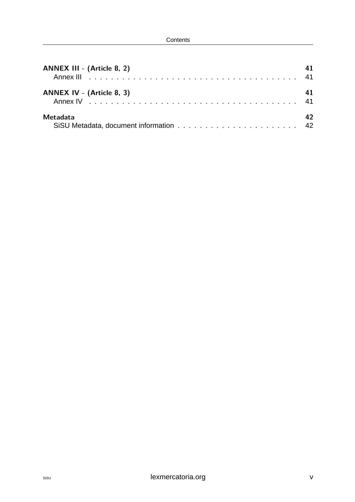| ANNEX III - (Article 8, 2) |    |
|----------------------------|----|
| ANNEX IV - (Article 8, 3)  |    |
| Metadata                   | 42 |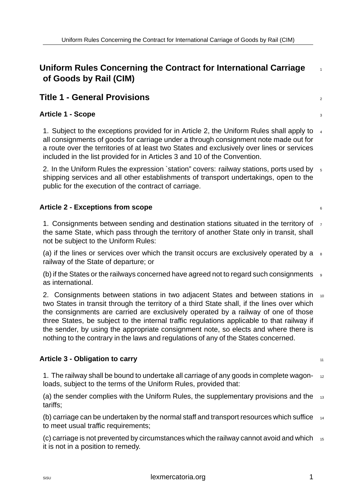# **Uniform Rules Concerning the Contract for International Carriage** <sup>1</sup> **of Goods by Rail (CIM)**

# **Title 1 - General Provisions** <sup>2</sup>

## <span id="page-5-0"></span>**Article 1 - Scope** <sup>3</sup>

<span id="page-5-1"></span>1. Subject to the exceptions provided for in Article 2, the Uniform Rules shall apply to  $\frac{4}{4}$ all consignments of goods for carriage under a through consignment note made out for a route over the territories of at least two States and exclusively over lines or services included in the list provided for in Articles 3 and 10 of the Convention.

<span id="page-5-2"></span>2. In the Uniform Rules the expression `station" covers: railway stations, ports used by 5 shipping services and all other establishments of transport undertakings, open to the public for the execution of the contract of carriage.

## **Article 2 - Exceptions from scope** <sup>6</sup>

1. Consignments between sending and destination stations situated in the territory of  $\bar{z}$ the same State, which pass through the territory of another State only in transit, shall not be subject to the Uniform Rules:

<span id="page-5-3"></span>(a) if the lines or services over which the transit occurs are exclusively operated by a  $88$ railway of the State of departure; or

(b) if the States or the railways concerned have agreed not to regard such consignments  $\overline{9}$ as international.

2. Consignments between stations in two adjacent States and between stations in 10 two States in transit through the territory of a third State shall, if the lines over which the consignments are carried are exclusively operated by a railway of one of those three States, be subject to the internal traffic regulations applicable to that railway if the sender, by using the appropriate consignment note, so elects and where there is nothing to the contrary in the laws and regulations of any of the States concerned.

## Article 3 - Obligation to carry 11

1. The railway shall be bound to undertake all carriage of any goods in complete wagon- <sup>12</sup> loads, subject to the terms of the Uniform Rules, provided that:

<span id="page-5-4"></span>(a) the sender complies with the Uniform Rules, the supplementary provisions and the  $_{13}$ tariffs;

(b) carriage can be undertaken by the normal staff and transport resources which suffice  $_{14}$ to meet usual traffic requirements;

(c) carriage is not prevented by circumstances which the railway cannot avoid and which  $_{15}$ it is not in a position to remedy.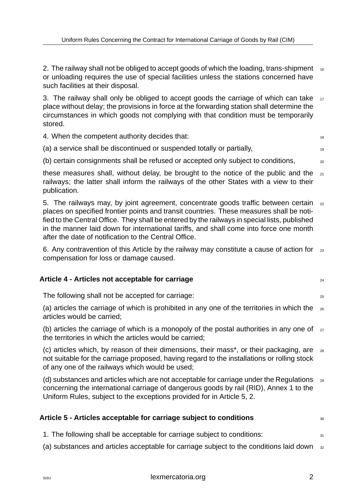2. The railway shall not be obliged to accept goods of which the loading, trans-shipment  $_{16}$ or unloading requires the use of special facilities unless the stations concerned have such facilities at their disposal.

3. The railway shall only be obliged to accept goods the carriage of which can take  $17$ place without delay; the provisions in force at the forwarding station shall determine the circumstances in which goods not complying with that condition must be temporarily stored.

| 4. When the competent authority decides that:                          |    |
|------------------------------------------------------------------------|----|
| (a) a service shall be discontinued or suspended totally or partially, | 19 |

(b) certain consignments shall be refused or accepted only subject to conditions,  $\frac{20}{20}$ 

these measures shall, without delay, be brought to the notice of the public and the  $_{21}$ railways; the latter shall inform the railways of the other States with a view to their publication.

5. The railways may, by joint agreement, concentrate goods traffic between certain  $_{22}$ places on specified frontier points and transit countries. These measures shall be notified to the Central Office. They shall be entered by the railways in special lists, published in the manner laid down for international tariffs, and shall come into force one month after the date of notification to the Central Office.

6. Any contravention of this Article by the railway may constitute a cause of action for  $_{23}$ compensation for loss or damage caused.

# <span id="page-6-0"></span>Article 4 - Articles not acceptable for carriage **24** The following shall not be accepted for carriage:  $25$ (a) articles the carriage of which is prohibited in any one of the territories in which the  $_{26}$ articles would be carried; (b) articles the carriage of which is a monopoly of the postal authorities in any one of  $z_7$ the territories in which the articles would be carried; (c) articles which, by reason of their dimensions, their mass<sup>\*</sup>, or their packaging, are  $_{28}$ not suitable for the carriage proposed, having regard to the installations or rolling stock of any one of the railways which would be used; (d) substances and articles which are not acceptable for carriage under the Regulations  $_{29}$

concerning the international carriage of dangerous goods by rail (RID), Annex 1 to the Uniform Rules, subject to the exceptions provided for in Article 5, 2.

## Article 5 - Articles acceptable for carriage subject to conditions

- 1. The following shall be acceptable for carriage subject to conditions:  $31$
- <span id="page-6-1"></span>(a) substances and articles acceptable for carriage subject to the conditions laid down  $32$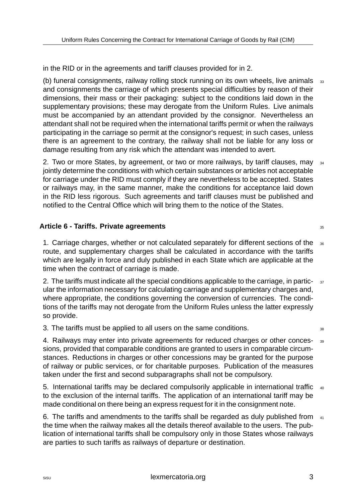in the RID or in the agreements and tariff clauses provided for in 2.

(b) funeral consignments, railway rolling stock running on its own wheels, live animals  $33$ and consignments the carriage of which presents special difficulties by reason of their dimensions, their mass or their packaging: subject to the conditions laid down in the supplementary provisions; these may derogate from the Uniform Rules. Live animals must be accompanied by an attendant provided by the consignor. Nevertheless an attendant shall not be required when the international tariffs permit or when the railways participating in the carriage so permit at the consignor's request; in such cases, unless there is an agreement to the contrary, the railway shall not be liable for any loss or damage resulting from any risk which the attendant was intended to avert.

2. Two or more States, by agreement, or two or more railways, by tariff clauses, may  $_{34}$ jointly determine the conditions with which certain substances or articles not acceptable for carriage under the RID must comply if they are nevertheless to be accepted. States or railways may, in the same manner, make the conditions for acceptance laid down in the RID less rigorous. Such agreements and tariff clauses must be published and notified to the Central Office which will bring them to the notice of the States.

## **Article 6 - Tariffs. Private agreements** <sup>35</sup>

1. Carriage charges, whether or not calculated separately for different sections of the <sub>36</sub> route, and supplementary charges shall be calculated in accordance with the tariffs which are legally in force and duly published in each State which are applicable at the time when the contract of carriage is made.

<span id="page-7-0"></span>2. The tariffs must indicate all the special conditions applicable to the carriage, in partic-  $\frac{37}{2}$ ular the information necessary for calculating carriage and supplementary charges and, where appropriate, the conditions governing the conversion of currencies. The conditions of the tariffs may not derogate from the Uniform Rules unless the latter expressly so provide.

3. The tariffs must be applied to all users on the same conditions.

4. Railways may enter into private agreements for reduced charges or other conces- <sup>39</sup> sions, provided that comparable conditions are granted to users in comparable circumstances. Reductions in charges or other concessions may be granted for the purpose of railway or public services, or for charitable purposes. Publication of the measures taken under the first and second subparagraphs shall not be compulsory.

5. International tariffs may be declared compulsorily applicable in international traffic  $40$ to the exclusion of the internal tariffs. The application of an international tariff may be made conditional on there being an express request for it in the consignment note.

6. The tariffs and amendments to the tariffs shall be regarded as duly published from  $41$ the time when the railway makes all the details thereof available to the users. The publication of international tariffs shall be compulsory only in those States whose railways are parties to such tariffs as railways of departure or destination.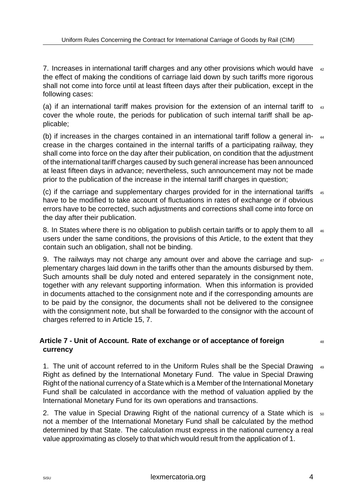7. Increases in international tariff charges and any other provisions which would have  $_{42}$ the effect of making the conditions of carriage laid down by such tariffs more rigorous shall not come into force until at least fifteen days after their publication, except in the following cases:

(a) if an international tariff makes provision for the extension of an internal tariff to  $_{43}$ cover the whole route, the periods for publication of such internal tariff shall be applicable;

(b) if increases in the charges contained in an international tariff follow a general increase in the charges contained in the internal tariffs of a participating railway, they shall come into force on the day after their publication, on condition that the adjustment of the international tariff charges caused by such general increase has been announced at least fifteen days in advance; nevertheless, such announcement may not be made prior to the publication of the increase in the internal tariff charges in question;

(c) if the carriage and supplementary charges provided for in the international tariffs  $_{45}$ have to be modified to take account of fluctuations in rates of exchange or if obvious errors have to be corrected, such adjustments and corrections shall come into force on the day after their publication.

8. In States where there is no obligation to publish certain tariffs or to apply them to all <sub>46</sub> users under the same conditions, the provisions of this Article, to the extent that they contain such an obligation, shall not be binding.

9. The railways may not charge any amount over and above the carriage and sup- $47$ plementary charges laid down in the tariffs other than the amounts disbursed by them. Such amounts shall be duly noted and entered separately in the consignment note, together with any relevant supporting information. When this information is provided in documents attached to the consignment note and if the corresponding amounts are to be paid by the consignor, the documents shall not be delivered to the consignee with the consignment note, but shall be forwarded to the consignor with the account of charges referred to in Article 15, 7.

## **Article 7 - Unit of Account. Rate of exchange or of acceptance of foreign** <sup>48</sup> **currency**

1. The unit of account referred to in the Uniform Rules shall be the Special Drawing  $49$ Right as defined by the International Monetary Fund. The value in Special Drawing Right of the national currency of a State which is a Member of the International Monetary Fund shall be calculated in accordance with the method of valuation applied by the International Monetary Fund for its own operations and transactions.

<span id="page-8-0"></span>2. The value in Special Drawing Right of the national currency of a State which is  $50$ not a member of the International Monetary Fund shall be calculated by the method determined by that State. The calculation must express in the national currency a real value approximating as closely to that which would result from the application of 1.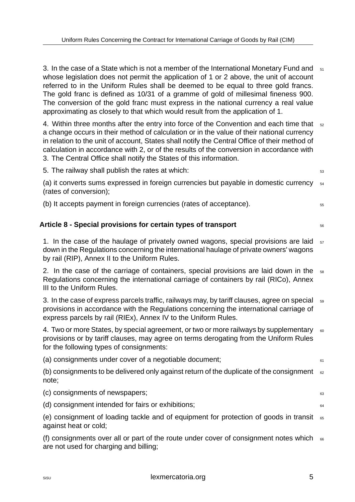3. In the case of a State which is not a member of the International Monetary Fund and  $_{51}$ whose legislation does not permit the application of 1 or 2 above, the unit of account referred to in the Uniform Rules shall be deemed to be equal to three gold francs. The gold franc is defined as 10/31 of a gramme of gold of millesimal fineness 900. The conversion of the gold franc must express in the national currency a real value approximating as closely to that which would result from the application of 1.

4. Within three months after the entry into force of the Convention and each time that  $52$ a change occurs in their method of calculation or in the value of their national currency in relation to the unit of account, States shall notify the Central Office of their method of calculation in accordance with 2, or of the results of the conversion in accordance with 3. The Central Office shall notify the States of this information.

<span id="page-9-0"></span>

| 5. The railway shall publish the rates at which:                                                                                                                                                                                                         | 53 |
|----------------------------------------------------------------------------------------------------------------------------------------------------------------------------------------------------------------------------------------------------------|----|
| (a) it converts sums expressed in foreign currencies but payable in domestic currency<br>(rates of conversion);                                                                                                                                          | 54 |
| (b) It accepts payment in foreign currencies (rates of acceptance).                                                                                                                                                                                      | 55 |
| Article 8 - Special provisions for certain types of transport                                                                                                                                                                                            | 56 |
| 1. In the case of the haulage of privately owned wagons, special provisions are laid<br>down in the Regulations concerning the international haulage of private owners' wagons<br>by rail (RIP), Annex II to the Uniform Rules.                          | 57 |
| 2. In the case of the carriage of containers, special provisions are laid down in the<br>Regulations concerning the international carriage of containers by rail (RICo), Annex<br>III to the Uniform Rules.                                              | 58 |
| 3. In the case of express parcels traffic, railways may, by tariff clauses, agree on special<br>provisions in accordance with the Regulations concerning the international carriage of<br>express parcels by rail (RIEx), Annex IV to the Uniform Rules. | 59 |
| 4. Two or more States, by special agreement, or two or more railways by supplementary<br>provisions or by tariff clauses, may agree on terms derogating from the Uniform Rules<br>for the following types of consignments:                               | 60 |
| (a) consignments under cover of a negotiable document;                                                                                                                                                                                                   | 61 |
| (b) consignments to be delivered only against return of the duplicate of the consignment<br>note;                                                                                                                                                        | 62 |
| (c) consignments of newspapers;                                                                                                                                                                                                                          | 63 |
| (d) consignment intended for fairs or exhibitions;                                                                                                                                                                                                       | 64 |
| (e) consignment of loading tackle and of equipment for protection of goods in transit<br>against heat or cold;                                                                                                                                           | 65 |
| (f) concignments over all or part of the reute under equal of consignment pates which                                                                                                                                                                    |    |

(f) consignments over all or part of the route under cover of consignment notes which  $_{66}$ are not used for charging and billing;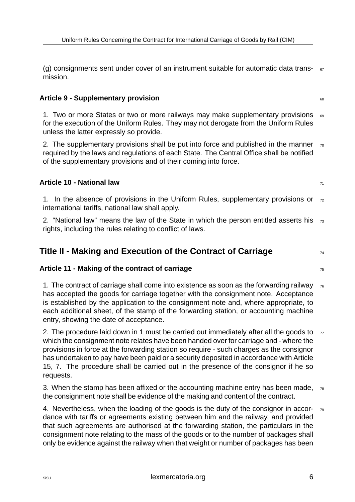(g) consignments sent under cover of an instrument suitable for automatic data trans-  $67$ mission.

#### **Article 9 - Supplementary provision** <sup>68</sup>

1. Two or more States or two or more railways may make supplementary provisions  $69$ for the execution of the Uniform Rules. They may not derogate from the Uniform Rules unless the latter expressly so provide.

<span id="page-10-0"></span>2. The supplementary provisions shall be put into force and published in the manner  $\pi$ required by the laws and regulations of each State. The Central Office shall be notified of the supplementary provisions and of their coming into force.

#### **Article 10 - National law** <sup>71</sup>

1. In the absence of provisions in the Uniform Rules, supplementary provisions or  $\pi$ international tariffs, national law shall apply.

<span id="page-10-1"></span>2. "National law" means the law of the State in which the person entitled asserts his  $73$ rights, including the rules relating to conflict of laws.

## **Title II - Making and Execution of the Contract of Carriage** <sup>74</sup>

## **Article 11 - Making of the contract of carriage** <sup>75</sup>

<span id="page-10-2"></span>1. The contract of carriage shall come into existence as soon as the forwarding railway  $76$ has accepted the goods for carriage together with the consignment note. Acceptance is established by the application to the consignment note and, where appropriate, to each additional sheet, of the stamp of the forwarding station, or accounting machine entry, showing the date of acceptance.

<span id="page-10-3"></span>2. The procedure laid down in 1 must be carried out immediately after all the goods to  $\pi$ which the consignment note relates have been handed over for carriage and - where the provisions in force at the forwarding station so require - such charges as the consignor has undertaken to pay have been paid or a security deposited in accordance with Article 15, 7. The procedure shall be carried out in the presence of the consignor if he so requests.

3. When the stamp has been affixed or the accounting machine entry has been made,  $\pi$ the consignment note shall be evidence of the making and content of the contract.

4. Nevertheless, when the loading of the goods is the duty of the consignor in accordance with tariffs or agreements existing between him and the railway, and provided that such agreements are authorised at the forwarding station, the particulars in the consignment note relating to the mass of the goods or to the number of packages shall only be evidence against the railway when that weight or number of packages has been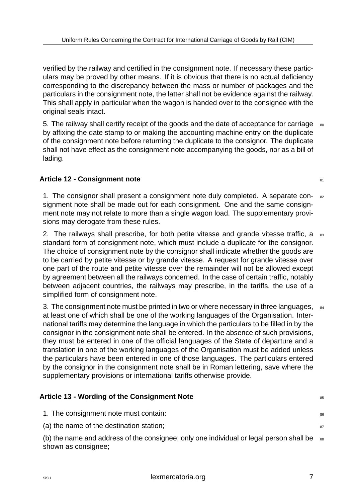verified by the railway and certified in the consignment note. If necessary these particulars may be proved by other means. If it is obvious that there is no actual deficiency corresponding to the discrepancy between the mass or number of packages and the particulars in the consignment note, the latter shall not be evidence against the railway. This shall apply in particular when the wagon is handed over to the consignee with the original seals intact.

5. The railway shall certify receipt of the goods and the date of acceptance for carriage  $80$ by affixing the date stamp to or making the accounting machine entry on the duplicate of the consignment note before returning the duplicate to the consignor. The duplicate shall not have effect as the consignment note accompanying the goods, nor as a bill of lading.

## **Article 12 - Consignment note** 81

1. The consignor shall present a consignment note duly completed. A separate con- $_{82}$ signment note shall be made out for each consignment. One and the same consignment note may not relate to more than a single wagon load. The supplementary provisions may derogate from these rules.

<span id="page-11-0"></span>2. The railways shall prescribe, for both petite vitesse and grande vitesse traffic,  $a_{83}$ standard form of consignment note, which must include a duplicate for the consignor. The choice of consignment note by the consignor shall indicate whether the goods are to be carried by petite vitesse or by grande vitesse. A request for grande vitesse over one part of the route and petite vitesse over the remainder will not be allowed except by agreement between all the railways concerned. In the case of certain traffic, notably between adjacent countries, the railways may prescribe, in the tariffs, the use of a simplified form of consignment note.

3. The consignment note must be printed in two or where necessary in three languages,  $84$ at least one of which shall be one of the working languages of the Organisation. International tariffs may determine the language in which the particulars to be filled in by the consignor in the consignment note shall be entered. In the absence of such provisions, they must be entered in one of the official languages of the State of departure and a translation in one of the working languages of the Organisation must be added unless the particulars have been entered in one of those languages. The particulars entered by the consignor in the consignment note shall be in Roman lettering, save where the supplementary provisions or international tariffs otherwise provide.

<span id="page-11-1"></span>

| Article 13 - Wording of the Consignment Note                                                                      | 85 |
|-------------------------------------------------------------------------------------------------------------------|----|
| 1. The consignment note must contain:                                                                             | 86 |
| (a) the name of the destination station;                                                                          | 87 |
| (b) the name and address of the consignee; only one individual or legal person shall be as<br>shown as consignee; |    |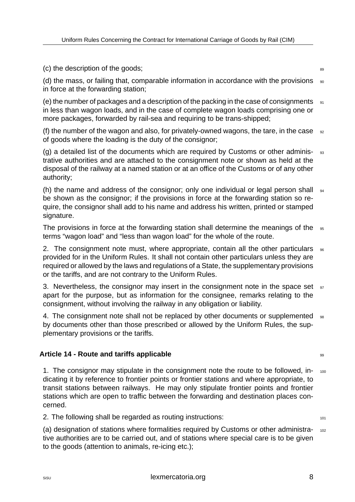(c) the description of the goods;  $89$ 

(d) the mass, or failing that, comparable information in accordance with the provisions  $\frac{90}{20}$ in force at the forwarding station;

(e) the number of packages and a description of the packing in the case of consignments  $_{91}$ in less than wagon loads, and in the case of complete wagon loads comprising one or more packages, forwarded by rail-sea and requiring to be trans-shipped;

(f) the number of the wagon and also, for privately-owned wagons, the tare, in the case  $92$ of goods where the loading is the duty of the consignor;

(g) a detailed list of the documents which are required by Customs or other administrative authorities and are attached to the consignment note or shown as held at the disposal of the railway at a named station or at an office of the Customs or of any other authority;

(h) the name and address of the consignor; only one individual or legal person shall  $_{94}$ be shown as the consignor; if the provisions in force at the forwarding station so require, the consignor shall add to his name and address his written, printed or stamped signature.

The provisions in force at the forwarding station shall determine the meanings of the  $_{95}$ terms "wagon load" and "less than wagon load" for the whole of the route.

2. The consignment note must, where appropriate, contain all the other particulars  $\frac{1}{96}$ provided for in the Uniform Rules. It shall not contain other particulars unless they are required or allowed by the laws and regulations of a State, the supplementary provisions or the tariffs, and are not contrary to the Uniform Rules.

3. Nevertheless, the consignor may insert in the consignment note in the space set  $\frac{97}{97}$ apart for the purpose, but as information for the consignee, remarks relating to the consignment, without involving the railway in any obligation or liability.

4. The consignment note shall not be replaced by other documents or supplemented  $_{98}$ by documents other than those prescribed or allowed by the Uniform Rules, the supplementary provisions or the tariffs.

## **Article 14 - Route and tariffs applicable** <sup>99</sup>

1. The consignor may stipulate in the consignment note the route to be followed, indicating it by reference to frontier points or frontier stations and where appropriate, to transit stations between railways. He may only stipulate frontier points and frontier stations which are open to traffic between the forwarding and destination places concerned.

<span id="page-12-0"></span>2. The following shall be regarded as routing instructions:  $101$ 

(a) designation of stations where formalities required by Customs or other administra- <sup>102</sup> tive authorities are to be carried out, and of stations where special care is to be given to the goods (attention to animals, re-icing etc.);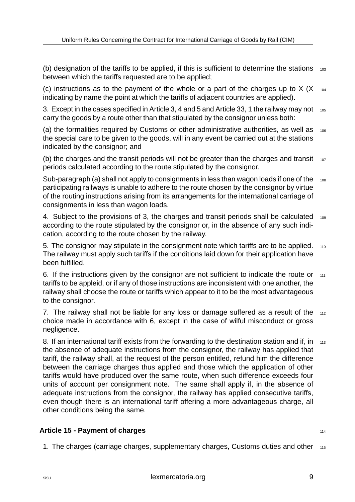(b) designation of the tariffs to be applied, if this is sufficient to determine the stations  $_{103}$ between which the tariffs requested are to be applied;

(c) instructions as to the payment of the whole or a part of the charges up to  $X(X_{104})$ indicating by name the point at which the tariffs of adjacent countries are applied).

3. Except in the cases specified in Article 3, 4 and 5 and Article 33, 1 the railway may not  $_{105}$ carry the goods by a route other than that stipulated by the consignor unless both:

(a) the formalities required by Customs or other administrative authorities, as well as  $_{106}$ the special care to be given to the goods, will in any event be carried out at the stations indicated by the consignor; and

(b) the charges and the transit periods will not be greater than the charges and transit  $107$ periods calculated according to the route stipulated by the consignor.

Sub-paragraph (a) shall not apply to consignments in less than wagon loads if one of the  $_{108}$ participating railways is unable to adhere to the route chosen by the consignor by virtue of the routing instructions arising from its arrangements for the international carriage of consignments in less than wagon loads.

4. Subject to the provisions of 3, the charges and transit periods shall be calculated 109 according to the route stipulated by the consignor or, in the absence of any such indication, according to the route chosen by the railway.

5. The consignor may stipulate in the consignment note which tariffs are to be applied.  $_{110}$ The railway must apply such tariffs if the conditions laid down for their application have been fulfilled.

6. If the instructions given by the consignor are not sufficient to indicate the route or  $\frac{111}{111}$ tariffs to be appleid, or if any of those instructions are inconsistent with one another, the railway shall choose the route or tariffs which appear to it to be the most advantageous to the consignor.

7. The railway shall not be liable for any loss or damage suffered as a result of the  $_{112}$ choice made in accordance with 6, except in the case of wilful misconduct or gross negligence.

8. If an international tariff exists from the forwarding to the destination station and if, in  $_{113}$ the absence of adequate instructions from the consignor, the railway has applied that tariff, the railway shall, at the request of the person entitled, refund him the difference between the carriage charges thus applied and those which the application of other tariffs would have produced over the same route, when such difference exceeds four units of account per consignment note. The same shall apply if, in the absence of adequate instructions from the consignor, the railway has applied consecutive tariffs, even though there is an international tariff offering a more advantageous charge, all other conditions being the same.

## **Article 15 - Payment of charges 114**

<span id="page-13-0"></span>1. The charges (carriage charges, supplementary charges, Customs duties and other  $\frac{115}{115}$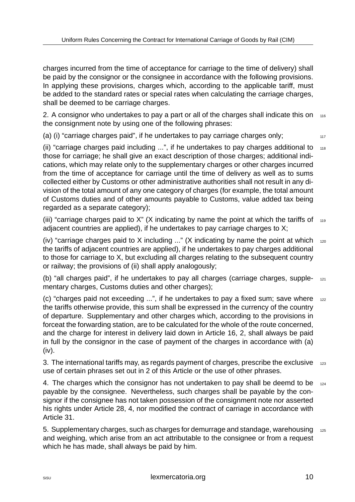charges incurred from the time of acceptance for carriage to the time of delivery) shall be paid by the consignor or the consignee in accordance with the following provisions. In applying these provisions, charges which, according to the applicable tariff, must be added to the standard rates or special rates when calculating the carriage charges, shall be deemed to be carriage charges.

2. A consignor who undertakes to pay a part or all of the charges shall indicate this on  $_{116}$ the consignment note by using one of the following phrases:

(a) (i) "carriage charges paid", if he undertakes to pay carriage charges only;  $117$ 

(ii) "carriage charges paid including  $\ldots$ ", if he undertakes to pay charges additional to  $\ldots$ 118 those for carriage; he shall give an exact description of those charges; additional indications, which may relate only to the supplementary charges or other charges incurred from the time of acceptance for carriage until the time of delivery as well as to sums collected either by Customs or other administrative authorities shall not result in any division of the total amount of any one category of charges (for example, the total amount of Customs duties and of other amounts payable to Customs, value added tax being regarded as a separate category);

(iii) "carriage charges paid to X" (X indicating by name the point at which the tariffs of  $_{119}$ adjacent countries are applied), if he undertakes to pay carriage charges to X;

(iv) "carriage charges paid to X including ..." (X indicating by name the point at which  $_{120}$ the tariffs of adjacent countries are applied), if he undertakes to pay charges additional to those for carriage to X, but excluding all charges relating to the subsequent country or railway; the provisions of (ii) shall apply analogously;

(b) "all charges paid", if he undertakes to pay all charges (carriage charges, supple-  $_{121}$ mentary charges, Customs duties and other charges);

(c) "charges paid not exceeding  $\ldots$ ", if he undertakes to pay a fixed sum; save where  $\frac{122}{2}$ the tariffs otherwise provide, this sum shall be expressed in the currency of the country of departure. Supplementary and other charges which, according to the provisions in forceat the forwarding station, are to be calculated for the whole of the route concerned, and the charge for interest in delivery laid down in Article 16, 2, shall always be paid in full by the consignor in the case of payment of the charges in accordance with (a) (iv).

3. The international tariffs may, as regards payment of charges, prescribe the exclusive  $_{123}$ use of certain phrases set out in 2 of this Article or the use of other phrases.

4. The charges which the consignor has not undertaken to pay shall be deemd to be  $_{124}$ payable by the consignee. Nevertheless, such charges shall be payable by the consignor if the consignee has not taken possession of the consignment note nor asserted his rights under Article 28, 4, nor modified the contract of carriage in accordance with Article 31.

5. Supplementary charges, such as charges for demurrage and standage, warehousing  $125$ and weighing, which arise from an act attributable to the consignee or from a request which he has made, shall always be paid by him.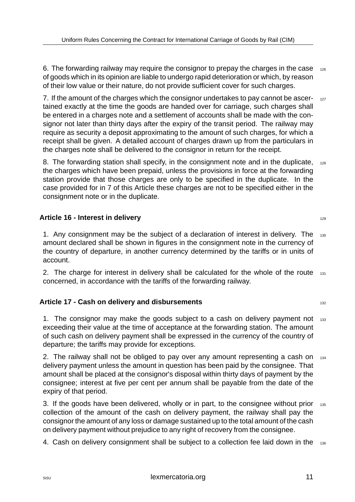6. The forwarding railway may require the consignor to prepay the charges in the case  $_{126}$ of goods which in its opinion are liable to undergo rapid deterioration or which, by reason of their low value or their nature, do not provide sufficient cover for such charges.

7. If the amount of the charges which the consignor undertakes to pay cannot be ascer-  $127$ tained exactly at the time the goods are handed over for carriage, such charges shall be entered in a charges note and a settlement of accounts shall be made with the consignor not later than thirty days after the expiry of the transit period. The railway may require as security a deposit approximating to the amount of such charges, for which a receipt shall be given. A detailed account of charges drawn up from the particulars in the charges note shall be delivered to the consignor in return for the receipt.

8. The forwarding station shall specify, in the consignment note and in the duplicate,  $_{128}$ the charges which have been prepaid, unless the provisions in force at the forwarding station provide that those charges are only to be specified in the duplicate. In the case provided for in 7 of this Article these charges are not to be specified either in the consignment note or in the duplicate.

#### **Article 16 - Interest in delivery** <sup>129</sup>

1. Any consignment may be the subject of a declaration of interest in delivery. The  $_{130}$ amount declared shall be shown in figures in the consignment note in the currency of the country of departure, in another currency determined by the tariffs or in units of account.

<span id="page-15-0"></span>2. The charge for interest in delivery shall be calculated for the whole of the route  $_{131}$ concerned, in accordance with the tariffs of the forwarding railway.

## Article 17 - Cash on delivery and disbursements **132** 132

1. The consignor may make the goods subject to a cash on delivery payment not  $_{133}$ exceeding their value at the time of acceptance at the forwarding station. The amount of such cash on delivery payment shall be expressed in the currency of the country of departure; the tariffs may provide for exceptions.

<span id="page-15-1"></span>2. The railway shall not be obliged to pay over any amount representing a cash on  $_{134}$ delivery payment unless the amount in question has been paid by the consignee. That amount shall be placed at the consignor's disposal within thirty days of payment by the consignee; interest at five per cent per annum shall be payable from the date of the expiry of that period.

3. If the goods have been delivered, wholly or in part, to the consignee without prior  $135$ collection of the amount of the cash on delivery payment, the railway shall pay the consignor the amount of any loss or damage sustained up to the total amount of the cash on delivery payment without prejudice to any right of recovery from the consignee.

4. Cash on delivery consignment shall be subject to a collection fee laid down in the  $_{136}$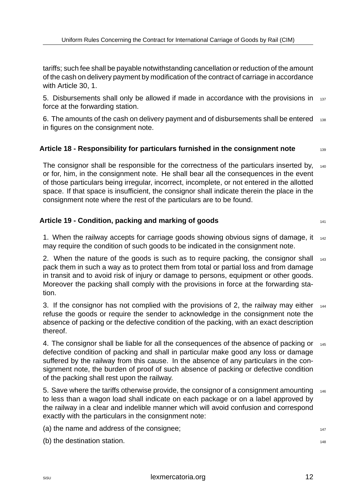tariffs; such fee shall be payable notwithstanding cancellation or reduction of the amount of the cash on delivery payment by modification of the contract of carriage in accordance with Article 30, 1.

5. Disbursements shall only be allowed if made in accordance with the provisions in  $137$ force at the forwarding station.

6. The amounts of the cash on delivery payment and of disbursements shall be entered  $_{138}$ in figures on the consignment note.

## Article 18 - Responsibility for particulars furnished in the consignment note 139

<span id="page-16-0"></span>The consignor shall be responsible for the correctness of the particulars inserted by,  $_{140}$ or for, him, in the consignment note. He shall bear all the consequences in the event of those particulars being irregular, incorrect, incomplete, or not entered in the allotted space. If that space is insufficient, the consignor shall indicate therein the place in the consignment note where the rest of the particulars are to be found.

## Article 19 - Condition, packing and marking of goods 141

1. When the railway accepts for carriage goods showing obvious signs of damage, it  $_{142}$ may require the condition of such goods to be indicated in the consignment note.

<span id="page-16-1"></span>2. When the nature of the goods is such as to require packing, the consignor shall  $_{143}$ pack them in such a way as to protect them from total or partial loss and from damage in transit and to avoid risk of injury or damage to persons, equipment or other goods. Moreover the packing shall comply with the provisions in force at the forwarding station.

3. If the consignor has not complied with the provisions of 2, the railway may either  $_{144}$ refuse the goods or require the sender to acknowledge in the consignment note the absence of packing or the defective condition of the packing, with an exact description thereof.

4. The consignor shall be liable for all the consequences of the absence of packing or  $_{145}$ defective condition of packing and shall in particular make good any loss or damage suffered by the railway from this cause. In the absence of any particulars in the consignment note, the burden of proof of such absence of packing or defective condition of the packing shall rest upon the railway.

5. Save where the tariffs otherwise provide, the consignor of a consignment amounting  $_{146}$ to less than a wagon load shall indicate on each package or on a label approved by the railway in a clear and indelible manner which will avoid confusion and correspond exactly with the particulars in the consignment note:

| (a) the name and address of the consignee; |  |
|--------------------------------------------|--|
|--------------------------------------------|--|

(b) the destination station.  $148$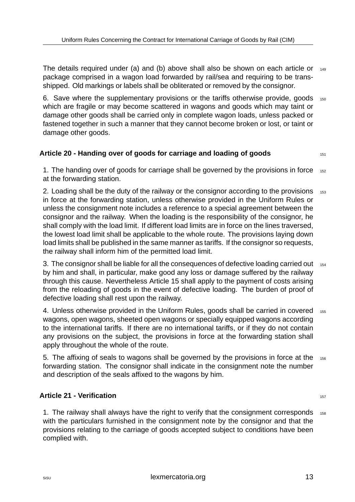The details required under (a) and (b) above shall also be shown on each article or  $_{149}$ package comprised in a wagon load forwarded by rail/sea and requiring to be transshipped. Old markings or labels shall be obliterated or removed by the consignor.

6. Save where the supplementary provisions or the tariffs otherwise provide, goods  $_{150}$ which are fragile or may become scattered in wagons and goods which may taint or damage other goods shall be carried only in complete wagon loads, unless packed or fastened together in such a manner that they cannot become broken or lost, or taint or damage other goods.

## **Article 20 - Handing over of goods for carriage and loading of goods** <sup>151</sup>

1. The handing over of goods for carriage shall be governed by the provisions in force  $152$ at the forwarding station.

<span id="page-17-0"></span>2. Loading shall be the duty of the railway or the consignor according to the provisions  $153$ in force at the forwarding station, unless otherwise provided in the Uniform Rules or unless the consignment note includes a reference to a special agreement between the consignor and the railway. When the loading is the responsibility of the consignor, he shall comply with the load limit. If different load limits are in force on the lines traversed, the lowest load limit shall be applicable to the whole route. The provisions laying down load limits shall be published in the same manner as tariffs. If the consignor so requests, the railway shall inform him of the permitted load limit.

3. The consignor shall be liable for all the consequences of defective loading carried out  $_{154}$ by him and shall, in particular, make good any loss or damage suffered by the railway through this cause. Nevertheless Article 15 shall apply to the payment of costs arising from the reloading of goods in the event of defective loading. The burden of proof of defective loading shall rest upon the railway.

4. Unless otherwise provided in the Uniform Rules, goods shall be carried in covered 155 wagons, open wagons, sheeted open wagons or specially equipped wagons according to the international tariffs. If there are no international tariffs, or if they do not contain any provisions on the subject, the provisions in force at the forwarding station shall apply throughout the whole of the route.

5. The affixing of seals to wagons shall be governed by the provisions in force at the  $_{156}$ forwarding station. The consignor shall indicate in the consignment note the number and description of the seals affixed to the wagons by him.

## **Article 21 - Verification** 157

<span id="page-17-1"></span>1. The railway shall always have the right to verify that the consignment corresponds  $_{158}$ with the particulars furnished in the consignment note by the consignor and that the provisions relating to the carriage of goods accepted subject to conditions have been complied with.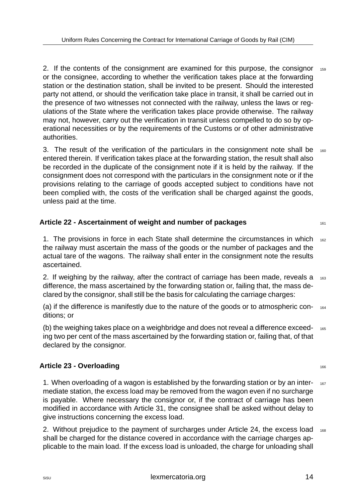2. If the contents of the consignment are examined for this purpose, the consignor  $_{159}$ or the consignee, according to whether the verification takes place at the forwarding station or the destination station, shall be invited to be present. Should the interested party not attend, or should the verification take place in transit, it shall be carried out in the presence of two witnesses not connected with the railway, unless the laws or regulations of the State where the verification takes place provide otherwise. The railway may not, however, carry out the verification in transit unless compelled to do so by operational necessities or by the requirements of the Customs or of other administrative authorities.

3. The result of the verification of the particulars in the consignment note shall be  $_{160}$ entered therein. If verification takes place at the forwarding station, the result shall also be recorded in the duplicate of the consignment note if it is held by the railway. If the consignment does not correspond with the particulars in the consignment note or if the provisions relating to the carriage of goods accepted subject to conditions have not been complied with, the costs of the verification shall be charged against the goods, unless paid at the time.

## **Article 22 - Ascertainment of weight and number of packages** <sup>161</sup>

1. The provisions in force in each State shall determine the circumstances in which  $_{162}$ the railway must ascertain the mass of the goods or the number of packages and the actual tare of the wagons. The railway shall enter in the consignment note the results ascertained.

<span id="page-18-0"></span>2. If weighing by the railway, after the contract of carriage has been made, reveals a  $_{163}$ difference, the mass ascertained by the forwarding station or, failing that, the mass declared by the consignor, shall still be the basis for calculating the carriage charges:

(a) if the difference is manifestly due to the nature of the goods or to atmospheric conditions; or

(b) the weighing takes place on a weighbridge and does not reveal a difference exceeding two per cent of the mass ascertained by the forwarding station or, failing that, of that declared by the consignor.

## Article 23 - Overloading 166

1. When overloading of a wagon is established by the forwarding station or by an inter-  $_{167}$ mediate station, the excess load may be removed from the wagon even if no surcharge is payable. Where necessary the consignor or, if the contract of carriage has been modified in accordance with Article 31, the consignee shall be asked without delay to give instructions concerning the excess load.

<span id="page-18-1"></span>2. Without prejudice to the payment of surcharges under Article 24, the excess load  $_{168}$ shall be charged for the distance covered in accordance with the carriage charges applicable to the main load. If the excess load is unloaded, the charge for unloading shall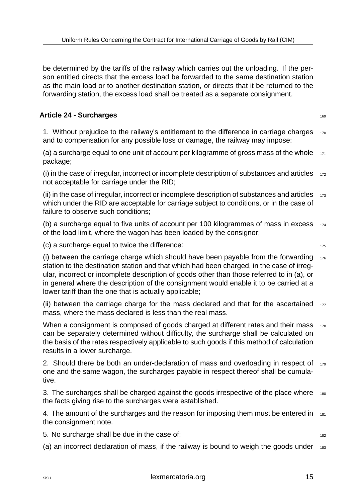be determined by the tariffs of the railway which carries out the unloading. If the person entitled directs that the excess load be forwarded to the same destination station as the main load or to another destination station, or directs that it be returned to the forwarding station, the excess load shall be treated as a separate consignment.

## Article 24 - Surcharges 169

1. Without prejudice to the railway's entitlement to the difference in carriage charges  $170$ and to compensation for any possible loss or damage, the railway may impose:

<span id="page-19-0"></span>(a) a surcharge equal to one unit of account per kilogramme of gross mass of the whole  $_{171}$ package;

(i) in the case of irregular, incorrect or incomplete description of substances and articles  $_{172}$ not acceptable for carriage under the RID;

(ii) in the case of irregular, incorrect or incomplete description of substances and articles  $_{173}$ which under the RID are acceptable for carriage subject to conditions, or in the case of failure to observe such conditions;

(b) a surcharge equal to five units of account per 100 kilogrammes of mass in excess  $174$ of the load limit, where the wagon has been loaded by the consignor;

(c) a surcharge equal to twice the difference:  $175$ 

(i) between the carriage charge which should have been payable from the forwarding  $176$ station to the destination station and that which had been charged, in the case of irregular, incorrect or incomplete description of goods other than those referred to in (a), or in general where the description of the consignment would enable it to be carried at a lower tariff than the one that is actually applicable;

(ii) between the carriage charge for the mass declared and that for the ascertained  $177$ mass, where the mass declared is less than the real mass.

When a consignment is composed of goods charged at different rates and their mass  $178$ can be separately determined without difficulty, the surcharge shall be calculated on the basis of the rates respectively applicable to such goods if this method of calculation results in a lower surcharge.

2. Should there be both an under-declaration of mass and overloading in respect of  $179$ one and the same wagon, the surcharges payable in respect thereof shall be cumulative.

3. The surcharges shall be charged against the goods irrespective of the place where  $_{180}$ the facts giving rise to the surcharges were established.

4. The amount of the surcharges and the reason for imposing them must be entered in  $_{181}$ the consignment note.

5. No surcharge shall be due in the case of:  $182$ 

(a) an incorrect declaration of mass, if the railway is bound to weigh the goods under  $_{183}$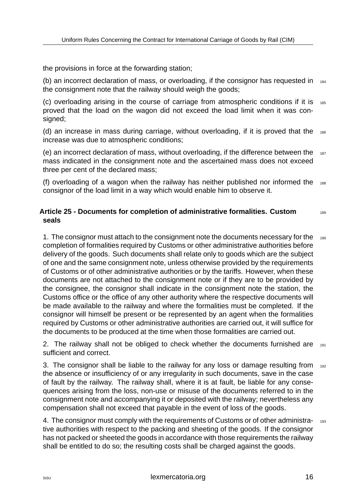the provisions in force at the forwarding station;

(b) an incorrect declaration of mass, or overloading, if the consignor has requested in  $_{184}$ the consignment note that the railway should weigh the goods;

(c) overloading arising in the course of carriage from atmospheric conditions if it is  $185$ proved that the load on the wagon did not exceed the load limit when it was consigned;

(d) an increase in mass during carriage, without overloading, if it is proved that the  $_{186}$ increase was due to atmospheric conditions;

(e) an incorrect declaration of mass, without overloading, if the difference between the  $_{187}$ mass indicated in the consignment note and the ascertained mass does not exceed three per cent of the declared mass;

(f) overloading of a wagon when the railway has neither published nor informed the  $_{188}$ consignor of the load limit in a way which would enable him to observe it.

## **Article 25 - Documents for completion of administrative formalities. Custom** <sup>189</sup> **seals**

<span id="page-20-0"></span>1. The consignor must attach to the consignment note the documents necessary for the  $_{190}$ completion of formalities required by Customs or other administrative authorities before delivery of the goods. Such documents shall relate only to goods which are the subject of one and the same consignment note, unless otherwise provided by the requirements of Customs or of other administrative authorities or by the tariffs. However, when these documents are not attached to the consignment note or if they are to be provided by the consignee, the consignor shall indicate in the consignment note the station, the Customs office or the office of any other authority where the respective documents will be made available to the railway and where the formalities must be completed. If the consignor will himself be present or be represented by an agent when the formalities required by Customs or other administrative authorities are carried out, it will suffice for the documents to be produced at the time when those formalities are carried out.

2. The railway shall not be obliged to check whether the documents furnished are  $_{191}$ sufficient and correct.

3. The consignor shall be liable to the railway for any loss or damage resulting from  $_{192}$ the absence or insufficiency of or any irregularity in such documents, save in the case of fault by the railway. The railway shall, where it is at fault, be liable for any consequences arising from the loss, non-use or misuse of the documents referred to in the consignment note and accompanying it or deposited with the railway; nevertheless any compensation shall not exceed that payable in the event of loss of the goods.

4. The consignor must comply with the requirements of Customs or of other administra- <sup>193</sup> tive authorities with respect to the packing and sheeting of the goods. If the consignor has not packed or sheeted the goods in accordance with those requirements the railway shall be entitled to do so; the resulting costs shall be charged against the goods.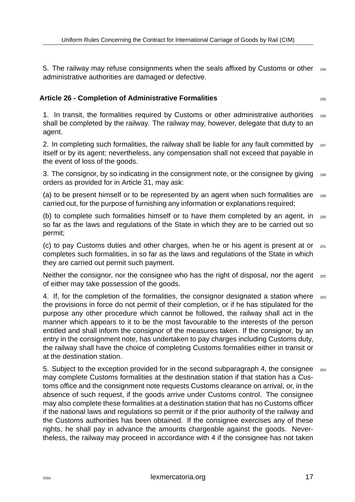5. The railway may refuse consignments when the seals affixed by Customs or other  $_{194}$ administrative authorities are damaged or defective.

#### Article 26 - Completion of Administrative Formalities **195**

1. In transit, the formalities required by Customs or other administrative authorities 196 shall be completed by the railway. The railway may, however, delegate that duty to an agent.

<span id="page-21-0"></span>2. In completing such formalities, the railway shall be liable for any fault committed by  $_{197}$ itself or by its agent; nevertheless, any compensation shall not exceed that payable in the event of loss of the goods.

3. The consignor, by so indicating in the consignment note, or the consignee by giving 198 orders as provided for in Article 31, may ask:

(a) to be present himself or to be represented by an agent when such formalities are  $_{199}$ carried out, for the purpose of furnishing any information or explanations required;

(b) to complete such formalities himself or to have them completed by an agent, in  $_{200}$ so far as the laws and regulations of the State in which they are to be carried out so permit;

(c) to pay Customs duties and other charges, when he or his agent is present at or  $_{201}$ completes such formalities, in so far as the laws and regulations of the State in which they are carried out permit such payment.

Neither the consignor, nor the consignee who has the right of disposal, nor the agent  $_{202}$ of either may take possession of the goods.

4. If, for the completion of the formalities, the consignor designated a station where <sub>203</sub> the provisions in force do not permit of their completion, or if he has stipulated for the purpose any other procedure which cannot be followed, the railway shall act in the manner which appears to it to be the most favourable to the interests of the person entitled and shall inform the consignor of the measures taken. If the consignor, by an entry in the consignment note, has undertaken to pay charges including Customs duty, the railway shall have the choice of completing Customs formalities either in transit or at the destination station.

5. Subject to the exception provided for in the second subparagraph 4, the consignee  $_{204}$ may complete Customs formalities at the destination station if that station has a Customs office and the consignment note requests Customs clearance on arrival, or, in the absence of such request, if the goods arrive under Customs control. The consignee may also complete these formalities at a destination station that has no Customs officer if the national laws and regulations so permit or if the prior authority of the railway and the Customs authorities has been obtained. If the consignee exercises any of these rights, he shall pay in advance the amounts chargeable against the goods. Nevertheless, the railway may proceed in accordance with 4 if the consignee has not taken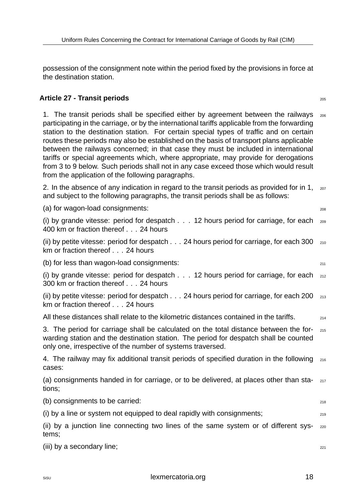possession of the consignment note within the period fixed by the provisions in force at the destination station.

#### **Article 27 - Transit periods** <sup>205</sup>

<span id="page-22-0"></span>1. The transit periods shall be specified either by agreement between the railways  $_{206}$ participating in the carriage, or by the international tariffs applicable from the forwarding station to the destination station. For certain special types of traffic and on certain routes these periods may also be established on the basis of transport plans applicable between the railways concerned; in that case they must be included in international tariffs or special agreements which, where appropriate, may provide for derogations from 3 to 9 below. Such periods shall not in any case exceed those which would result from the application of the following paragraphs.

2. In the absence of any indication in regard to the transit periods as provided for in 1,  $207$ and subject to the following paragraphs, the transit periods shall be as follows:

(a) for wagon-load consignments:  $_{208}$ 

| (i) by grande vitesse: period for despatch $\ldots$ 12 hours period for carriage, for each $_{209}$ |  |
|-----------------------------------------------------------------------------------------------------|--|
| 400 km or fraction thereof 24 hours                                                                 |  |

(ii) by petite vitesse: period for despatch  $\ldots$  24 hours period for carriage, for each 300  $_{210}$ km or fraction thereof . . . 24 hours

(b) for less than wagon-load consignments:  $211$ 

(i) by grande vitesse: period for despatch  $\ldots$  12 hours period for carriage, for each  $\ell_{212}$ 300 km or fraction thereof . . . 24 hours

(ii) by petite vitesse: period for despatch  $\ldots$  24 hours period for carriage, for each 200  $_{213}$ km or fraction thereof . . . 24 hours

All these distances shall relate to the kilometric distances contained in the tariffs.  $214$ 

3. The period for carriage shall be calculated on the total distance between the for- $_{215}$ warding station and the destination station. The period for despatch shall be counted only one, irrespective of the number of systems traversed.

4. The railway may fix additional transit periods of specified duration in the following <sup>216</sup> cases:

(a) consignments handed in for carriage, or to be delivered, at places other than sta- $_{217}$ tions;

(b) consignments to be carried:  $218$ 

(i) by a line or system not equipped to deal rapidly with consignments;  $_{219}$ 

(ii) by a junction line connecting two lines of the same system or of different sys- $_{220}$ tems;

(iii) by a secondary line;  $221$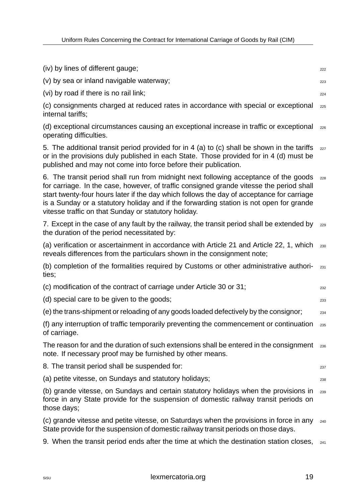| (iv) by lines of different gauge;                                                                                                                                                                                                                                                                                                                                                                                                | 222 |
|----------------------------------------------------------------------------------------------------------------------------------------------------------------------------------------------------------------------------------------------------------------------------------------------------------------------------------------------------------------------------------------------------------------------------------|-----|
| (v) by sea or inland navigable waterway;                                                                                                                                                                                                                                                                                                                                                                                         | 223 |
| (vi) by road if there is no rail link;                                                                                                                                                                                                                                                                                                                                                                                           | 224 |
| (c) consignments charged at reduced rates in accordance with special or exceptional<br>internal tariffs;                                                                                                                                                                                                                                                                                                                         | 225 |
| (d) exceptional circumstances causing an exceptional increase in traffic or exceptional<br>operating difficulties.                                                                                                                                                                                                                                                                                                               | 226 |
| 5. The additional transit period provided for in 4 (a) to (c) shall be shown in the tariffs<br>or in the provisions duly published in each State. Those provided for in 4 (d) must be<br>published and may not come into force before their publication.                                                                                                                                                                         | 227 |
| 6. The transit period shall run from midnight next following acceptance of the goods<br>for carriage. In the case, however, of traffic consigned grande vitesse the period shall<br>start twenty-four hours later if the day which follows the day of acceptance for carriage<br>is a Sunday or a statutory holiday and if the forwarding station is not open for grande<br>vitesse traffic on that Sunday or statutory holiday. | 228 |
| 7. Except in the case of any fault by the railway, the transit period shall be extended by<br>the duration of the period necessitated by:                                                                                                                                                                                                                                                                                        | 229 |
| (a) verification or ascertainment in accordance with Article 21 and Article 22, 1, which<br>reveals differences from the particulars shown in the consignment note;                                                                                                                                                                                                                                                              | 230 |
| (b) completion of the formalities required by Customs or other administrative authori-<br>ties;                                                                                                                                                                                                                                                                                                                                  | 231 |
| (c) modification of the contract of carriage under Article 30 or 31;                                                                                                                                                                                                                                                                                                                                                             | 232 |
| (d) special care to be given to the goods;                                                                                                                                                                                                                                                                                                                                                                                       | 233 |
| (e) the trans-shipment or reloading of any goods loaded defectively by the consignor;                                                                                                                                                                                                                                                                                                                                            | 234 |
| (f) any interruption of traffic temporarily preventing the commencement or continuation $235$<br>of carriage.                                                                                                                                                                                                                                                                                                                    |     |
| The reason for and the duration of such extensions shall be entered in the consignment<br>note. If necessary proof may be furnished by other means.                                                                                                                                                                                                                                                                              | 236 |
| 8. The transit period shall be suspended for:                                                                                                                                                                                                                                                                                                                                                                                    | 237 |
| (a) petite vitesse, on Sundays and statutory holidays;                                                                                                                                                                                                                                                                                                                                                                           | 238 |
| (b) grande vitesse, on Sundays and certain statutory holidays when the provisions in<br>force in any State provide for the suspension of domestic railway transit periods on<br>those days;                                                                                                                                                                                                                                      | 239 |
| (c) grande vitesse and petite vitesse, on Saturdays when the provisions in force in any<br>State provide for the suspension of domestic railway transit periods on those days.                                                                                                                                                                                                                                                   | 240 |
|                                                                                                                                                                                                                                                                                                                                                                                                                                  |     |

9. When the transit period ends after the time at which the destination station closes,  $_{241}$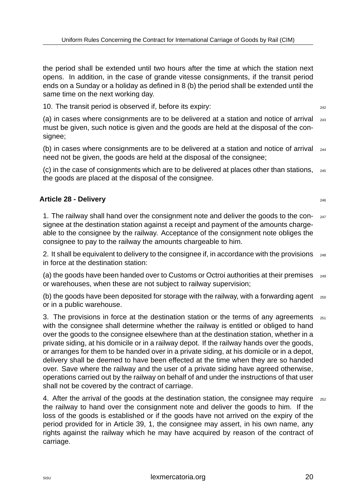the period shall be extended until two hours after the time at which the station next opens. In addition, in the case of grande vitesse consignments, if the transit period ends on a Sunday or a holiday as defined in 8 (b) the period shall be extended until the same time on the next working day.

10. The transit period is observed if, before its expiry:

(a) in cases where consignments are to be delivered at a station and notice of arrival  $_{243}$ must be given, such notice is given and the goods are held at the disposal of the consignee;

(b) in cases where consignments are to be delivered at a station and notice of arrival  $_{244}$ need not be given, the goods are held at the disposal of the consignee;

(c) in the case of consignments which are to be delivered at places other than stations,  $245$ the goods are placed at the disposal of the consignee.

#### **Article 28 - Delivery** 246

1. The railway shall hand over the consignment note and deliver the goods to the con- $_{247}$ signee at the destination station against a receipt and payment of the amounts chargeable to the consignee by the railway. Acceptance of the consignment note obliges the consignee to pay to the railway the amounts chargeable to him.

<span id="page-24-0"></span>2. It shall be equivalent to delivery to the consignee if, in accordance with the provisions  $_{248}$ in force at the destination station:

(a) the goods have been handed over to Customs or Octroi authorities at their premises  $_{249}$ or warehouses, when these are not subject to railway supervision;

(b) the goods have been deposited for storage with the railway, with a forwarding agent  $_{250}$ or in a public warehouse.

3. The provisions in force at the destination station or the terms of any agreements  $_{251}$ with the consignee shall determine whether the railway is entitled or obliged to hand over the goods to the consignee elsewhere than at the destination station, whether in a private siding, at his domicile or in a railway depot. If the railway hands over the goods, or arranges for them to be handed over in a private siding, at his domicile or in a depot, delivery shall be deemed to have been effected at the time when they are so handed over. Save where the railway and the user of a private siding have agreed otherwise, operations carried out by the railway on behalf of and under the instructions of that user shall not be covered by the contract of carriage.

4. After the arrival of the goods at the destination station, the consignee may require  $_{252}$ the railway to hand over the consignment note and deliver the goods to him. If the loss of the goods is established or if the goods have not arrived on the expiry of the period provided for in Article 39, 1, the consignee may assert, in his own name, any rights against the railway which he may have acquired by reason of the contract of carriage.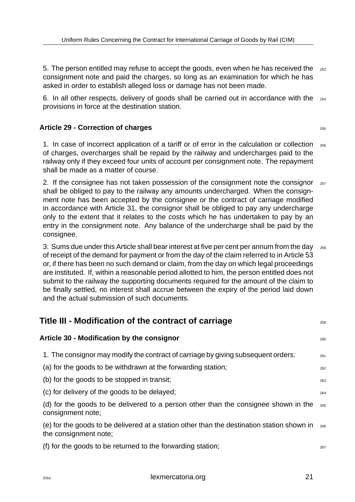5. The person entitled may refuse to accept the goods, even when he has received the  $_{253}$ consignment note and paid the charges, so long as an examination for which he has asked in order to establish alleged loss or damage has not been made.

6. In all other respects, delivery of goods shall be carried out in accordance with the  $_{254}$ provisions in force at the destination station.

#### **Article 29 - Correction of charges 255**

1. In case of incorrect application of a tariff or of error in the calculation or collection  $_{256}$ of charges, overcharges shall be repaid by the railway and undercharges paid to the railway only if they exceed four units of account per consignment note. The repayment shall be made as a matter of course.

<span id="page-25-0"></span>2. If the consignee has not taken possession of the consignment note the consignor  $_{257}$ shall be obliged to pay to the railway any amounts undercharged. When the consignment note has been accepted by the consignee or the contract of carriage modified in accordance with Article 31, the consignor shall be obliged to pay any undercharge only to the extent that it relates to the costs which he has undertaken to pay by an entry in the consignment note. Any balance of the undercharge shall be paid by the consignee.

3. Sums due under this Article shall bear interest at five per cent per annum from the day  $_{258}$ of receipt of the demand for payment or from the day of the claim referred to in Article 53 or, if there has been no such demand or claim, from the day on which legal proceedings are instituted. If, within a reasonable period allotted to him, the person entitled does not submit to the railway the supporting documents required for the amount of the claim to be finally settled, no interest shall accrue between the expiry of the period laid down and the actual submission of such documents.

<span id="page-25-2"></span><span id="page-25-1"></span>

| Title III - Modification of the contract of carriage                                                                | 259 |
|---------------------------------------------------------------------------------------------------------------------|-----|
| <b>Article 30 - Modification by the consignor</b>                                                                   | 260 |
| 1. The consignor may modify the contract of carriage by giving subsequent orders:                                   | 261 |
| (a) for the goods to be withdrawn at the forwarding station;                                                        | 262 |
| (b) for the goods to be stopped in transit;                                                                         | 263 |
| (c) for delivery of the goods to be delayed;                                                                        | 264 |
| (d) for the goods to be delivered to a person other than the consignee shown in the<br>consignment note;            | 265 |
| (e) for the goods to be delivered at a station other than the destination station shown in<br>the consignment note; | 266 |
| (f) for the goods to be returned to the forwarding station;                                                         | 267 |
|                                                                                                                     |     |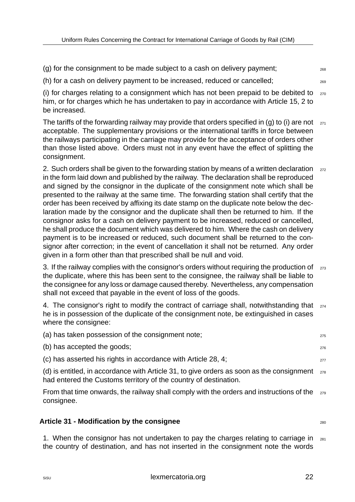(g) for the consignment to be made subject to a cash on delivery payment;  $_{268}$ 

(h) for a cash on delivery payment to be increased, reduced or cancelled;  $269$ 

(i) for charges relating to a consignment which has not been prepaid to be debited to  $_{270}$ him, or for charges which he has undertaken to pay in accordance with Article 15, 2 to be increased.

The tariffs of the forwarding railway may provide that orders specified in (g) to (i) are not  $_{271}$ acceptable. The supplementary provisions or the international tariffs in force between the railways participating in the carriage may provide for the acceptance of orders other than those listed above. Orders must not in any event have the effect of splitting the consignment.

2. Such orders shall be given to the forwarding station by means of a written declaration  $_{272}$ in the form laid down and published by the railway. The declaration shall be reproduced and signed by the consignor in the duplicate of the consignment note which shall be presented to the railway at the same time. The forwarding station shall certify that the order has been received by affixing its date stamp on the duplicate note below the declaration made by the consignor and the duplicate shall then be returned to him. If the consignor asks for a cash on delivery payment to be increased, reduced or cancelled, he shall produce the document which was delivered to him. Where the cash on delivery payment is to be increased or reduced, such document shall be returned to the consignor after correction; in the event of cancellation it shall not be returned. Any order given in a form other than that prescribed shall be null and void.

3. If the railway complies with the consignor's orders without requiring the production of  $_{273}$ the duplicate, where this has been sent to the consignee, the railway shall be liable to the consignee for any loss or damage caused thereby. Nevertheless, any compensation shall not exceed that payable in the event of loss of the goods.

4. The consignor's right to modify the contract of carriage shall, notwithstanding that  $_{274}$ he is in possession of the duplicate of the consignment note, be extinguished in cases where the consignee:

| (a) has taken possession of the consignment note;             | 275 |
|---------------------------------------------------------------|-----|
| (b) has accepted the goods;                                   | 276 |
| (c) has asserted his rights in accordance with Article 28, 4; | 277 |

(d) is entitled, in accordance with Article 31, to give orders as soon as the consignment  $_{278}$ had entered the Customs territory of the country of destination.

From that time onwards, the railway shall comply with the orders and instructions of the  $_{279}$ consignee.

#### Article 31 - Modification by the consignee **280** 280

<span id="page-26-0"></span>1. When the consignor has not undertaken to pay the charges relating to carriage in  $_{281}$ the country of destination, and has not inserted in the consignment note the words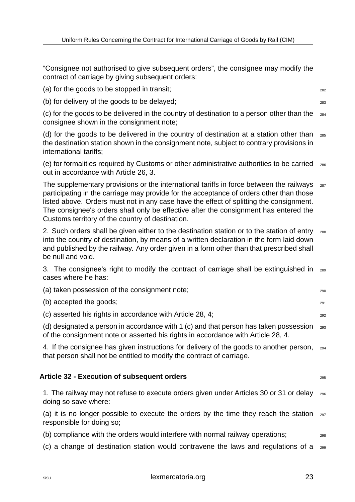"Consignee not authorised to give subsequent orders", the consignee may modify the contract of carriage by giving subsequent orders:

| (a) for the goods to be stopped in transit;                                                                                                                                                                                                                                                                                                                                                                               | 282 |
|---------------------------------------------------------------------------------------------------------------------------------------------------------------------------------------------------------------------------------------------------------------------------------------------------------------------------------------------------------------------------------------------------------------------------|-----|
| (b) for delivery of the goods to be delayed;                                                                                                                                                                                                                                                                                                                                                                              | 283 |
| (c) for the goods to be delivered in the country of destination to a person other than the<br>consignee shown in the consignment note;                                                                                                                                                                                                                                                                                    | 284 |
| (d) for the goods to be delivered in the country of destination at a station other than<br>the destination station shown in the consignment note, subject to contrary provisions in<br>international tariffs;                                                                                                                                                                                                             | 285 |
| (e) for formalities required by Customs or other administrative authorities to be carried<br>out in accordance with Article 26, 3.                                                                                                                                                                                                                                                                                        | 286 |
| The supplementary provisions or the international tariffs in force between the railways<br>participating in the carriage may provide for the acceptance of orders other than those<br>listed above. Orders must not in any case have the effect of splitting the consignment.<br>The consignee's orders shall only be effective after the consignment has entered the<br>Customs territory of the country of destination. | 287 |
| 2. Such orders shall be given either to the destination station or to the station of entry<br>into the country of destination, by means of a written declaration in the form laid down<br>and published by the railway. Any order given in a form other than that prescribed shall<br>be null and void.                                                                                                                   | 288 |
| 3. The consignee's right to modify the contract of carriage shall be extinguished in<br>cases where he has:                                                                                                                                                                                                                                                                                                               | 289 |
| (a) taken possession of the consignment note;                                                                                                                                                                                                                                                                                                                                                                             | 290 |
| (b) accepted the goods;                                                                                                                                                                                                                                                                                                                                                                                                   | 291 |
| (c) asserted his rights in accordance with Article 28, 4;                                                                                                                                                                                                                                                                                                                                                                 | 292 |
| (d) designated a person in accordance with 1 (c) and that person has taken possession<br>of the consignment note or asserted his rights in accordance with Article 28, 4.                                                                                                                                                                                                                                                 | 293 |
| 4. If the consignee has given instructions for delivery of the goods to another person,<br>that person shall not be entitled to modify the contract of carriage.                                                                                                                                                                                                                                                          | 294 |
| <b>Article 32 - Execution of subsequent orders</b>                                                                                                                                                                                                                                                                                                                                                                        | 295 |
| 1. The railway may not refuse to execute orders given under Articles 30 or 31 or delay<br>doing so save where:                                                                                                                                                                                                                                                                                                            | 296 |

(a) it is no longer possible to execute the orders by the time they reach the station  $_{297}$ responsible for doing so;

- (b) compliance with the orders would interfere with normal railway operations; 298
- (c) a change of destination station would contravene the laws and regulations of a  $_{299}$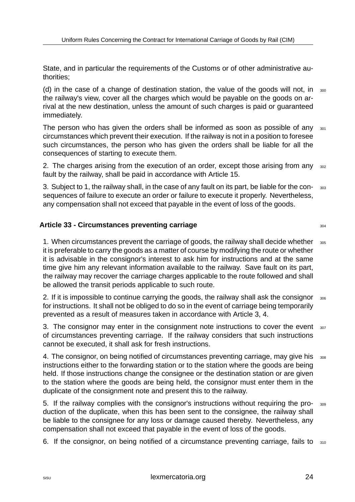State, and in particular the requirements of the Customs or of other administrative authorities;

(d) in the case of a change of destination station, the value of the goods will not, in  $\frac{300}{200}$ the railway's view, cover all the charges which would be payable on the goods on arrival at the new destination, unless the amount of such charges is paid or guaranteed immediately.

The person who has given the orders shall be informed as soon as possible of any  $301$ circumstances which prevent their execution. If the railway is not in a position to foresee such circumstances, the person who has given the orders shall be liable for all the consequences of starting to execute them.

2. The charges arising from the execution of an order, except those arising from any  $302$ fault by the railway, shall be paid in accordance with Article 15.

3. Subject to 1, the railway shall, in the case of any fault on its part, be liable for the con-<br>303 sequences of failure to execute an order or failure to execute it properly. Nevertheless, any compensation shall not exceed that payable in the event of loss of the goods.

## **Article 33 - Circumstances preventing carriage 304 Serverse 204 Serverse 204 Serverse 204 Serverse 204 Serverse 204**

1. When circumstances prevent the carriage of goods, the railway shall decide whether  $\frac{305}{205}$ it is preferable to carry the goods as a matter of course by modifying the route or whether it is advisable in the consignor's interest to ask him for instructions and at the same time give him any relevant information available to the railway. Save fault on its part, the railway may recover the carriage charges applicable to the route followed and shall be allowed the transit periods applicable to such route.

2. If it is impossible to continue carrying the goods, the railway shall ask the consignor  $\frac{306}{200}$ for instructions. It shall not be obliged to do so in the event of carriage being temporarily prevented as a result of measures taken in accordance with Article 3, 4.

3. The consignor may enter in the consignment note instructions to cover the event  $\frac{307}{200}$ of circumstances preventing carriage. If the railway considers that such instructions cannot be executed, it shall ask for fresh instructions.

4. The consignor, on being notified of circumstances preventing carriage, may give his <sub>308</sub> instructions either to the forwarding station or to the station where the goods are being held. If those instructions change the consignee or the destination station or are given to the station where the goods are being held, the consignor must enter them in the duplicate of the consignment note and present this to the railway.

5. If the railway complies with the consignor's instructions without requiring the pro- 309 duction of the duplicate, when this has been sent to the consignee, the railway shall be liable to the consignee for any loss or damage caused thereby. Nevertheless, any compensation shall not exceed that payable in the event of loss of the goods.

6. If the consignor, on being notified of a circumstance preventing carriage, fails to  $_{310}$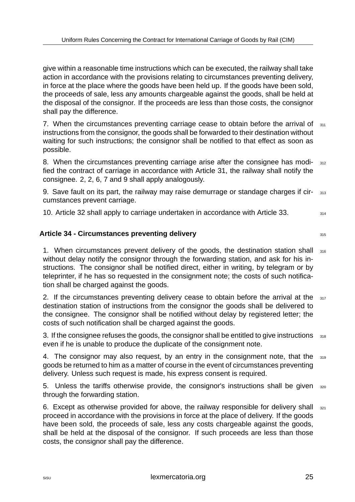give within a reasonable time instructions which can be executed, the railway shall take action in accordance with the provisions relating to circumstances preventing delivery, in force at the place where the goods have been held up. If the goods have been sold, the proceeds of sale, less any amounts chargeable against the goods, shall be held at the disposal of the consignor. If the proceeds are less than those costs, the consignor shall pay the difference.

7. When the circumstances preventing carriage cease to obtain before the arrival of  $\frac{311}{311}$ instructions from the consignor, the goods shall be forwarded to their destination without waiting for such instructions; the consignor shall be notified to that effect as soon as possible.

8. When the circumstances preventing carriage arise after the consignee has modi- <sup>312</sup> fied the contract of carriage in accordance with Article 31, the railway shall notify the consignee. 2, 2, 6, 7 and 9 shall apply analogously.

9. Save fault on its part, the railway may raise demurrage or standage charges if cir- $\frac{313}{2}$ cumstances prevent carriage.

10. Article 32 shall apply to carriage undertaken in accordance with Article 33.  $\frac{314}{314}$ 

## Article 34 - Circumstances preventing delivery **SACCO 215** 315

1. When circumstances prevent delivery of the goods, the destination station shall  $_{316}$ without delay notify the consignor through the forwarding station, and ask for his instructions. The consignor shall be notified direct, either in writing, by telegram or by teleprinter, if he has so requested in the consignment note; the costs of such notification shall be charged against the goods.

<span id="page-29-0"></span>2. If the circumstances preventing delivery cease to obtain before the arrival at the  $317$ destination station of instructions from the consignor the goods shall be delivered to the consignee. The consignor shall be notified without delay by registered letter; the costs of such notification shall be charged against the goods.

3. If the consignee refuses the goods, the consignor shall be entitled to give instructions  $318$ even if he is unable to produce the duplicate of the consignment note.

4. The consignor may also request, by an entry in the consignment note, that the  $\frac{319}{2}$ goods be returned to him as a matter of course in the event of circumstances preventing delivery. Unless such request is made, his express consent is required.

5. Unless the tariffs otherwise provide, the consignor's instructions shall be given  $320$ through the forwarding station.

6. Except as otherwise provided for above, the railway responsible for delivery shall  $321$ proceed in accordance with the provisions in force at the place of delivery. If the goods have been sold, the proceeds of sale, less any costs chargeable against the goods, shall be held at the disposal of the consignor. If such proceeds are less than those costs, the consignor shall pay the difference.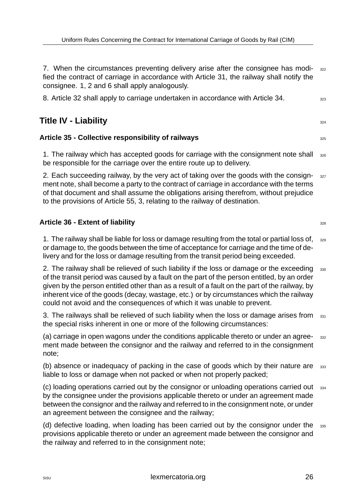7. When the circumstances preventing delivery arise after the consignee has modi- <sub>322</sub> fied the contract of carriage in accordance with Article 31, the railway shall notify the consignee. 1, 2 and 6 shall apply analogously.

8. Article 32 shall apply to carriage undertaken in accordance with Article 34.

# **Title IV - Liability** <sup>324</sup>

## Article 35 - Collective responsibility of railways **325**

<span id="page-30-0"></span>1. The railway which has accepted goods for carriage with the consignment note shall  $326$ be responsible for the carriage over the entire route up to delivery.

<span id="page-30-1"></span>2. Each succeeding railway, by the very act of taking over the goods with the consignment note, shall become a party to the contract of carriage in accordance with the terms of that document and shall assume the obligations arising therefrom, without prejudice to the provisions of Article 55, 3, relating to the railway of destination.

## **Article 36 - Extent of liability** 328

1. The railway shall be liable for loss or damage resulting from the total or partial loss of,  $\frac{329}{2}$ or damage to, the goods between the time of acceptance for carriage and the time of delivery and for the loss or damage resulting from the transit period being exceeded.

<span id="page-30-2"></span>2. The railway shall be relieved of such liability if the loss or damage or the exceeding  $330$ of the transit period was caused by a fault on the part of the person entitled, by an order given by the person entitled other than as a result of a fault on the part of the railway, by inherent vice of the goods (decay, wastage, etc.) or by circumstances which the railway could not avoid and the consequences of which it was unable to prevent.

3. The railways shall be relieved of such liability when the loss or damage arises from  $331$ the special risks inherent in one or more of the following circumstances:

(a) carriage in open wagons under the conditions applicable thereto or under an agree-<br>332 ment made between the consignor and the railway and referred to in the consignment note;

(b) absence or inadequacy of packing in the case of goods which by their nature are  $333$ liable to loss or damage when not packed or when not properly packed;

(c) loading operations carried out by the consignor or unloading operations carried out  $334$ by the consignee under the provisions applicable thereto or under an agreement made between the consignor and the railway and referred to in the consignment note, or under an agreement between the consignee and the railway;

(d) defective loading, when loading has been carried out by the consignor under the  $335$ provisions applicable thereto or under an agreement made between the consignor and the railway and referred to in the consignment note;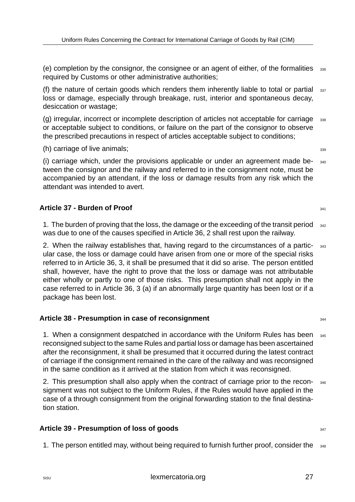(e) completion by the consignor, the consignee or an agent of either, of the formalities required by Customs or other administrative authorities;

(f) the nature of certain goods which renders them inherently liable to total or partial  $337$ loss or damage, especially through breakage, rust, interior and spontaneous decay, desiccation or wastage;

(g) irregular, incorrect or incomplete description of articles not acceptable for carriage  $338$ or acceptable subject to conditions, or failure on the part of the consignor to observe the prescribed precautions in respect of articles acceptable subject to conditions;

(h) carriage of live animals;  $339$ 

(i) carriage which, under the provisions applicable or under an agreement made be- $_{340}$ tween the consignor and the railway and referred to in the consignment note, must be accompanied by an attendant, if the loss or damage results from any risk which the attendant was intended to avert.

## **Article 37 - Burden of Proof** 341

1. The burden of proving that the loss, the damage or the exceeding of the transit period  $_{342}$ was due to one of the causes specified in Article 36, 2 shall rest upon the railway.

<span id="page-31-0"></span>2. When the railway establishes that, having regard to the circumstances of a partic- <sup>343</sup> ular case, the loss or damage could have arisen from one or more of the special risks referred to in Article 36, 3, it shall be presumed that it did so arise. The person entitled shall, however, have the right to prove that the loss or damage was not attributable either wholly or partly to one of those risks. This presumption shall not apply in the case referred to in Article 36, 3 (a) if an abnormally large quantity has been lost or if a package has been lost.

## Article 38 - Presumption in case of reconsignment 344

1. When a consignment despatched in accordance with the Uniform Rules has been 345 reconsigned subject to the same Rules and partial loss or damage has been ascertained after the reconsignment, it shall be presumed that it occurred during the latest contract of carriage if the consignment remained in the care of the railway and was reconsigned in the same condition as it arrived at the station from which it was reconsigned.

<span id="page-31-1"></span>2. This presumption shall also apply when the contract of carriage prior to the recon- <sup>346</sup> signment was not subject to the Uniform Rules, if the Rules would have applied in the case of a through consignment from the original forwarding station to the final destination station.

## Article 39 - Presumption of loss of goods 347

<span id="page-31-2"></span>1. The person entitled may, without being required to furnish further proof, consider the  $_{348}$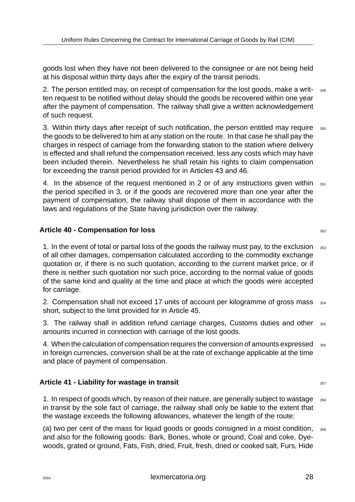goods lost when they have not been delivered to the consignee or are not being held at his disposal within thirty days after the expiry of the transit periods.

2. The person entitled may, on receipt of compensation for the lost goods, make a writ- <sup>349</sup> ten request to be notified without delay should the goods be recovered within one year after the payment of compensation. The railway shall give a written acknowledgement of such request.

3. Within thirty days after receipt of such notification, the person entitled may require  $350$ the goods to be delivered to him at any station on the route. In that case he shall pay the charges in respect of carriage from the forwarding station to the station where delivery is effected and shall refund the compensation received, less any costs which may have been included therein. Nevertheless he shall retain his rights to claim compensation for exceeding the transit period provided for in Articles 43 and 46.

4. In the absence of the request mentioned in 2 or of any instructions given within  $351$ the period specified in 3, or if the goods are recovered more than one year after the payment of compensation, the railway shall dispose of them in accordance with the laws and regulations of the State having jurisdiction over the railway.

## **Article 40 - Compensation for loss** 352

<span id="page-32-0"></span>1. In the event of total or partial loss of the goods the railway must pay, to the exclusion  $353$ of all other damages, compensation calculated according to the commodity exchange quotation or, if there is no such quotation, according to the current market price, or if there is neither such quotation nor such price, according to the normal value of goods of the same kind and quality at the time and place at which the goods were accepted for carriage.

2. Compensation shall not exceed 17 units of account per kilogramme of gross mass  $354$ short, subject to the limit provided for in Article 45.

3. The railway shall in addition refund carriage charges, Customs duties and other 355 amounts incurred in connection with carriage of the lost goods.

4. When the calculation of compensation requires the conversion of amounts expressed <sub>356</sub> in foreign currencies, conversion shall be at the rate of exchange applicable at the time and place of payment of compensation.

## **Article 41 - Liability for wastage in transit** <sup>357</sup>

1. In respect of goods which, by reason of their nature, are generally subject to wastage  $358$ in transit by the sole fact of carriage, the railway shall only be liable to the extent that the wastage exceeds the following allowances, whatever the length of the route:

<span id="page-32-1"></span>(a) two per cent of the mass for liquid goods or goods consigned in a moist condition,  $359$ and also for the following goods: Bark, Bones, whole or ground, Coal and coke, Dyewoods, grated or ground, Fats, Fish, dried, Fruit, fresh, dried or cooked salt, Furs, Hide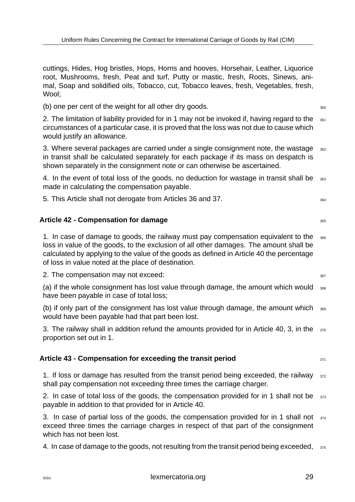cuttings, Hides, Hog bristles, Hops, Horns and hooves, Horsehair, Leather, Liquorice root, Mushrooms, fresh, Peat and turf, Putty or mastic, fresh, Roots, Sinews, animal, Soap and solidified oils, Tobacco, cut, Tobacco leaves, fresh, Vegetables, fresh, Wool;

(b) one per cent of the weight for all other dry goods.  $360$ 

2. The limitation of liability provided for in 1 may not be invoked if, having regard to the  $_{361}$ circumstances of a particular case, it is proved that the loss was not due to cause which would justify an allowance.

3. Where several packages are carried under a single consignment note, the wastage  $\frac{362}{100}$ in transit shall be calculated separately for each package if its mass on despatch is shown separately in the consignment note or can otherwise be ascertained.

4. In the event of total loss of the goods, no deduction for wastage in transit shall be  $\frac{363}{100}$ made in calculating the compensation payable.

5. This Article shall not derogate from Articles 36 and 37.

## **Article 42 - Compensation for damage** <sup>365</sup>

1. In case of damage to goods, the railway must pay compensation equivalent to the  $366$ loss in value of the goods, to the exclusion of all other damages. The amount shall be calculated by applying to the value of the goods as defined in Article 40 the percentage of loss in value noted at the place of destination.

<span id="page-33-0"></span>2. The compensation may not exceed:  $367$ 

(a) if the whole consignment has lost value through damage, the amount which would  $\frac{368}{100}$ have been payable in case of total loss;

(b) if only part of the consignment has lost value through damage, the amount which  $369$ would have been payable had that part been lost.

3. The railway shall in addition refund the amounts provided for in Article 40, 3, in the  $370$ proportion set out in 1.

## **Article 43 - Compensation for exceeding the transit period**  $371$

1. If loss or damage has resulted from the transit period being exceeded, the railway  $372$ shall pay compensation not exceeding three times the carriage charger.

<span id="page-33-1"></span>2. In case of total loss of the goods, the compensation provided for in 1 shall not be  $373$ payable in addition to that provided for in Article 40.

3. In case of partial loss of the goods, the compensation provided for in 1 shall not  $374$ exceed three times the carriage charges in respect of that part of the consignment which has not been lost.

4. In case of damage to the goods, not resulting from the transit period being exceeded, <sub>375</sub>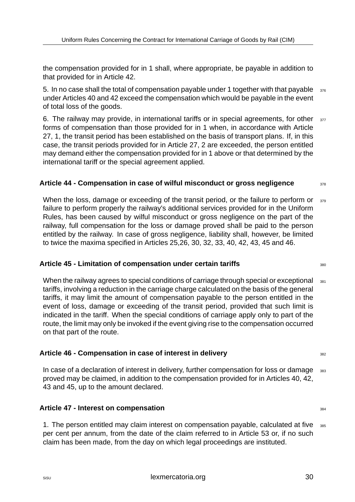the compensation provided for in 1 shall, where appropriate, be payable in addition to that provided for in Article 42.

5. In no case shall the total of compensation payable under 1 together with that payable  $376$ under Articles 40 and 42 exceed the compensation which would be payable in the event of total loss of the goods.

6. The railway may provide, in international tariffs or in special agreements, for other forms of compensation than those provided for in 1 when, in accordance with Article 27, 1, the transit period has been established on the basis of transport plans. If, in this case, the transit periods provided for in Article 27, 2 are exceeded, the person entitled may demand either the compensation provided for in 1 above or that determined by the international tariff or the special agreement applied.

## Article 44 - Compensation in case of wilful misconduct or gross negligence **378**

<span id="page-34-0"></span>When the loss, damage or exceeding of the transit period, or the failure to perform or  $\frac{379}{2}$ failure to perform properly the railway's additional services provided for in the Uniform Rules, has been caused by wilful misconduct or gross negligence on the part of the railway, full compensation for the loss or damage proved shall be paid to the person entitled by the railway. In case of gross negligence, liability shall, however, be limited to twice the maxima specified in Articles 25,26, 30, 32, 33, 40, 42, 43, 45 and 46.

## Article 45 - Limitation of compensation under certain tariffs **SACCO 2006** 380

<span id="page-34-1"></span>When the railway agrees to special conditions of carriage through special or exceptional  $381$ tariffs, involving a reduction in the carriage charge calculated on the basis of the general tariffs, it may limit the amount of compensation payable to the person entitled in the event of loss, damage or exceeding of the transit period, provided that such limit is indicated in the tariff. When the special conditions of carriage apply only to part of the route, the limit may only be invoked if the event giving rise to the compensation occurred on that part of the route.

## **Article 46 - Compensation in case of interest in delivery strategy of the Strategy of the Strategy of Strategy**

In case of a declaration of interest in delivery, further compensation for loss or damage  $383$ proved may be claimed, in addition to the compensation provided for in Articles 40, 42, 43 and 45, up to the amount declared.

#### <span id="page-34-2"></span>Article 47 - Interest on compensation **384** Section 384

<span id="page-34-3"></span>1. The person entitled may claim interest on compensation payable, calculated at five  $\frac{385}{2}$ per cent per annum, from the date of the claim referred to in Article 53 or, if no such claim has been made, from the day on which legal proceedings are instituted.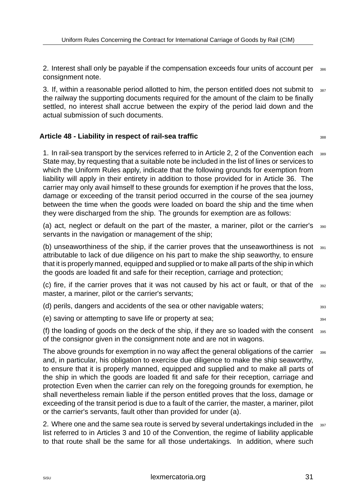2. Interest shall only be payable if the compensation exceeds four units of account per <sup>386</sup> consignment note.

3. If, within a reasonable period allotted to him, the person entitled does not submit to  $387$ the railway the supporting documents required for the amount of the claim to be finally settled, no interest shall accrue between the expiry of the period laid down and the actual submission of such documents.

## **Article 48 - Liability in respect of rail-sea traffic** <sup>388</sup>

<span id="page-35-0"></span>1. In rail-sea transport by the services referred to in Article 2, 2 of the Convention each  $389$ State may, by requesting that a suitable note be included in the list of lines or services to which the Uniform Rules apply, indicate that the following grounds for exemption from liability will apply in their entirety in addition to those provided for in Article 36. The carrier may only avail himself to these grounds for exemption if he proves that the loss, damage or exceeding of the transit period occurred in the course of the sea journey between the time when the goods were loaded on board the ship and the time when they were discharged from the ship. The grounds for exemption are as follows:

(a) act, neglect or default on the part of the master, a mariner, pilot or the carrier's  $\frac{390}{2}$ servants in the navigation or management of the ship;

(b) unseaworthiness of the ship, if the carrier proves that the unseaworthiness is not  $391$ attributable to lack of due diligence on his part to make the ship seaworthy, to ensure that it is properly manned, equipped and supplied or to make all parts of the ship in which the goods are loaded fit and safe for their reception, carriage and protection;

(c) fire, if the carrier proves that it was not caused by his act or fault, or that of the  $392$ master, a mariner, pilot or the carrier's servants;

|  |  |  |  | (d) perils, dangers and accidents of the sea or other navigable waters; |     |
|--|--|--|--|-------------------------------------------------------------------------|-----|
|  |  |  |  |                                                                         |     |
|  |  |  |  |                                                                         | 393 |
|  |  |  |  |                                                                         |     |

(e) saving or attempting to save life or property at sea;  $394$ 

(f) the loading of goods on the deck of the ship, if they are so loaded with the consent  $395$ of the consignor given in the consignment note and are not in wagons.

The above grounds for exemption in no way affect the general obligations of the carrier  $396$ and, in particular, his obligation to exercise due diligence to make the ship seaworthy, to ensure that it is properly manned, equipped and supplied and to make all parts of the ship in which the goods are loaded fit and safe for their reception, carriage and protection Even when the carrier can rely on the foregoing grounds for exemption, he shall nevertheless remain liable if the person entitled proves that the loss, damage or exceeding of the transit period is due to a fault of the carrier, the master, a mariner, pilot or the carrier's servants, fault other than provided for under (a).

2. Where one and the same sea route is served by several undertakings included in the  $397$ list referred to in Articles 3 and 10 of the Convention, the regime of liability applicable to that route shall be the same for all those undertakings. In addition, where such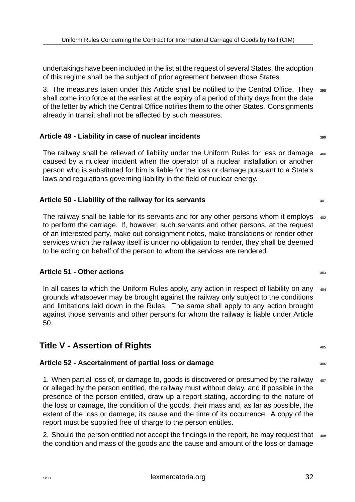undertakings have been included in the list at the request of several States, the adoption of this regime shall be the subject of prior agreement between those States

3. The measures taken under this Article shall be notified to the Central Office. They <sup>398</sup> shall come into force at the earliest at the expiry of a period of thirty days from the date of the letter by which the Central Office notifies them to the other States. Consignments already in transit shall not be affected by such measures.

## **Article 49 - Liability in case of nuclear incidents** <sup>399</sup>

The railway shall be relieved of liability under the Uniform Rules for less or damage  $400$ caused by a nuclear incident when the operator of a nuclear installation or another person who is substituted for him is liable for the loss or damage pursuant to a State's laws and regulations governing liability in the field of nuclear energy.

## <span id="page-36-0"></span>Article 50 - Liability of the railway for its servants **Article 50 - Liability of the railway for its servants**

<span id="page-36-1"></span>The railway shall be liable for its servants and for any other persons whom it employs  $402$ to perform the carriage. If, however, such servants and other persons, at the request of an interested party, make out consignment notes, make translations or render other services which the railway itself is under no obligation to render, they shall be deemed to be acting on behalf of the person to whom the services are rendered.

## **Article 51 - Other actions** <sup>403</sup>

<span id="page-36-2"></span>In all cases to which the Uniform Rules apply, any action in respect of liability on any  $404$ grounds whatsoever may be brought against the railway only subject to the conditions and limitations laid down in the Rules. The same shall apply to any action brought against those servants and other persons for whom the railway is liable under Article 50.

# **Title V - Assertion of Rights** <sup>405</sup>

## **Article 52 - Ascertainment of partial loss or damage** <sup>406</sup>

<span id="page-36-4"></span><span id="page-36-3"></span>1. When partial loss of, or damage to, goods is discovered or presumed by the railway  $407$ or alleged by the person entitled, the railway must without delay, and if possible in the presence of the person entitled, draw up a report stating, according to the nature of the loss or damage, the condition of the goods, their mass and, as far as possible, the extent of the loss or damage, its cause and the time of its occurrence. A copy of the report must be supplied free of charge to the person entitles.

2. Should the person entitled not accept the findings in the report, he may request that  $408$ the condition and mass of the goods and the cause and amount of the loss or damage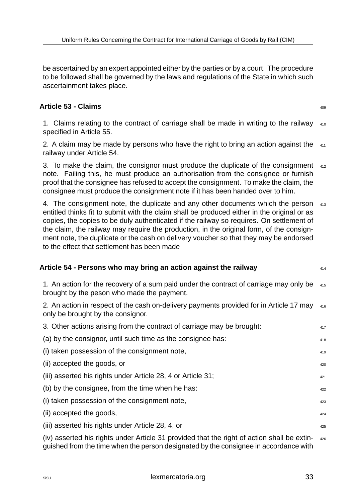be ascertained by an expert appointed either by the parties or by a court. The procedure to be followed shall be governed by the laws and regulations of the State in which such ascertainment takes place.

#### **Article 53 - Claims** <sup>409</sup>

1. Claims relating to the contract of carriage shall be made in writing to the railway  $410$ specified in Article 55.

<span id="page-37-0"></span>2. A claim may be made by persons who have the right to bring an action against the  $_{411}$ railway under Article 54.

3. To make the claim, the consignor must produce the duplicate of the consignment  $412$ note. Failing this, he must produce an authorisation from the consignee or furnish proof that the consignee has refused to accept the consignment. To make the claim, the consignee must produce the consignment note if it has been handed over to him.

4. The consignment note, the duplicate and any other documents which the person  $413$ entitled thinks fit to submit with the claim shall be produced either in the original or as copies, the copies to be duly authenticated if the railway so requires. On settlement of the claim, the railway may require the production, in the original form, of the consignment note, the duplicate or the cash on delivery voucher so that they may be endorsed to the effect that settlement has been made

<span id="page-37-1"></span>

| Article 54 - Persons who may bring an action against the railway<br>414                                                                                                             |     |  |  |  |
|-------------------------------------------------------------------------------------------------------------------------------------------------------------------------------------|-----|--|--|--|
| 1. An action for the recovery of a sum paid under the contract of carriage may only be<br>brought by the peson who made the payment.                                                | 415 |  |  |  |
| 2. An action in respect of the cash on-delivery payments provided for in Article 17 may<br>only be brought by the consignor.                                                        | 416 |  |  |  |
| 3. Other actions arising from the contract of carriage may be brought:                                                                                                              | 417 |  |  |  |
| (a) by the consignor, until such time as the consignee has:                                                                                                                         | 418 |  |  |  |
| (i) taken possession of the consignment note,                                                                                                                                       | 419 |  |  |  |
| (ii) accepted the goods, or                                                                                                                                                         | 420 |  |  |  |
| (iii) asserted his rights under Article 28, 4 or Article 31;                                                                                                                        | 421 |  |  |  |
| (b) by the consignee, from the time when he has:                                                                                                                                    | 422 |  |  |  |
| (i) taken possession of the consignment note,                                                                                                                                       | 423 |  |  |  |
| (ii) accepted the goods,                                                                                                                                                            | 424 |  |  |  |
| (iii) asserted his rights under Article 28, 4, or                                                                                                                                   | 425 |  |  |  |
| (iv) asserted his rights under Article 31 provided that the right of action shall be extin-<br>guished from the time when the person designated by the consignee in accordance with | 426 |  |  |  |

sisu and the set of the set of the set of the set of the set of the set of the set of the set of the set of the set of the set of the set of the set of the set of the set of the set of the set of the set of the set of the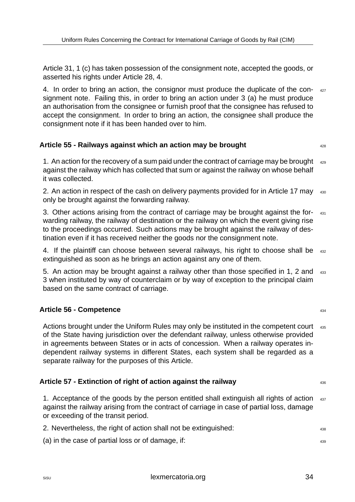Article 31, 1 (c) has taken possession of the consignment note, accepted the goods, or asserted his rights under Article 28, 4.

4. In order to bring an action, the consignor must produce the duplicate of the consignment note. Failing this, in order to bring an action under 3 (a) he must produce an authorisation from the consignee or furnish proof that the consignee has refused to accept the consignment. In order to bring an action, the consignee shall produce the consignment note if it has been handed over to him.

## **Article 55 - Railways against which an action may be brought** <sup>428</sup>

1. An action for the recovery of a sum paid under the contract of carriage may be brought  $_{429}$ against the railway which has collected that sum or against the railway on whose behalf it was collected.

<span id="page-38-0"></span>2. An action in respect of the cash on delivery payments provided for in Article 17 may  $430$ only be brought against the forwarding railway.

3. Other actions arising from the contract of carriage may be brought against the forwarding railway, the railway of destination or the railway on which the event giving rise to the proceedings occurred. Such actions may be brought against the railway of destination even if it has received neither the goods nor the consignment note.

4. If the plaintiff can choose between several railways, his right to choose shall be 432 extinguished as soon as he brings an action against any one of them.

5. An action may be brought against a railway other than those specified in 1, 2 and  $433$ 3 when instituted by way of counterclaim or by way of exception to the principal claim based on the same contract of carriage.

## **Article 56 - Competence** <sup>434</sup>

<span id="page-38-1"></span>Actions brought under the Uniform Rules may only be instituted in the competent court  $435$ of the State having jurisdiction over the defendant railway, unless otherwise provided in agreements between States or in acts of concession. When a railway operates independent railway systems in different States, each system shall be regarded as a separate railway for the purposes of this Article.

## **Article 57 - Extinction of right of action against the railway** <sup>436</sup>

1. Acceptance of the goods by the person entitled shall extinguish all rights of action  $437$ against the railway arising from the contract of carriage in case of partial loss, damage or exceeding of the transit period.

<span id="page-38-2"></span>

|  |  | 2. Nevertheless, the right of action shall not be extinguished: | 438 |
|--|--|-----------------------------------------------------------------|-----|
|--|--|-----------------------------------------------------------------|-----|

(a) in the case of partial loss or of damage, if:  $439$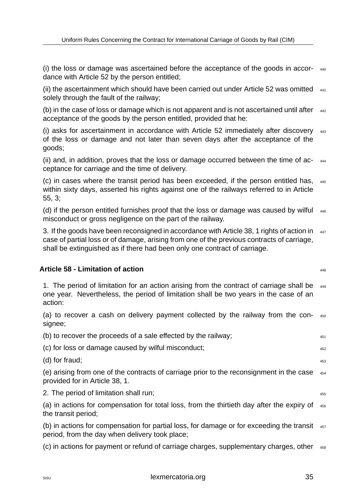(i) the loss or damage was ascertained before the acceptance of the goods in accor- $_{440}$ dance with Article 52 by the person entitled;

(ii) the ascertainment which should have been carried out under Article 52 was omitted  $_{441}$ solely through the fault of the railway;

(b) in the case of loss or damage which is not apparent and is not ascertained until after  $_{442}$ acceptance of the goods by the person entitled, provided that he:

(i) asks for ascertainment in accordance with Article 52 immediately after discovery  $443$ of the loss or damage and not later than seven days after the acceptance of the goods;

(ii) and, in addition, proves that the loss or damage occurred between the time of  $ac-444$ ceptance for carriage and the time of delivery.

(c) in cases where the transit period has been exceeded, if the person entitled has, <sup>445</sup> within sixty days, asserted his rights against one of the railways referred to in Article 55, 3;

(d) if the person entitled furnishes proof that the loss or damage was caused by wilful  $446$ misconduct or gross negligence on the part of the railway.

3. If the goods have been reconsigned in accordance with Article 38, 1 rights of action in  $_{447}$ case of partial loss or of damage, arising from one of the previous contracts of carriage, shall be extinguished as if there had been only one contract of carriage.

## **Article 58 - Limitation of action** <sup>448</sup>

1. The period of limitation for an action arising from the contract of carriage shall be  $449$ one year. Nevertheless, the period of limitation shall be two years in the case of an action:

<span id="page-39-0"></span>(a) to recover a cash on delivery payment collected by the railway from the con- <sup>450</sup> signee;

(b) to recover the proceeds of a sale effected by the railway; (c) for loss or damage caused by wilful misconduct; (d) for fraud;  $\frac{453}{453}$ (e) arising from one of the contracts of carriage prior to the reconsignment in the case provided for in Article 38, 1. 2. The period of limitation shall run; (a) in actions for compensation for total loss, from the thirtieth day after the expiry of the transit period; (b) in actions for compensation for partial loss, for damage or for exceeding the transit period, from the day when delivery took place; (c) in actions for payment or refund of carriage charges, supplementary charges, other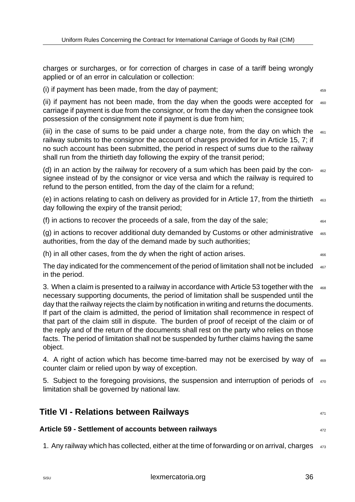charges or surcharges, or for correction of charges in case of a tariff being wrongly applied or of an error in calculation or collection:

(i) if payment has been made, from the day of payment;  $459$ 

(ii) if payment has not been made, from the day when the goods were accepted for  $460$ carriage if payment is due from the consignor, or from the day when the consignee took possession of the consignment note if payment is due from him;

(iii) in the case of sums to be paid under a charge note, from the day on which the  $461$ railway submits to the consignor the account of charges provided for in Article 15, 7; if no such account has been submitted, the period in respect of sums due to the railway shall run from the thirtieth day following the expiry of the transit period;

(d) in an action by the railway for recovery of a sum which has been paid by the con- $462$ signee instead of by the consignor or vice versa and which the railway is required to refund to the person entitled, from the day of the claim for a refund;

(e) in actions relating to cash on delivery as provided for in Article 17, from the thirtieth  $463$ day following the expiry of the transit period;

- (f) in actions to recover the proceeds of a sale, from the day of the sale;  $464$
- (g) in actions to recover additional duty demanded by Customs or other administrative  $465$ authorities, from the day of the demand made by such authorities;

(h) in all other cases, from the dy when the right of action arises.  $466$ 

The day indicated for the commencement of the period of limitation shall not be included  $467$ in the period.

3. When a claim is presented to a railway in accordance with Article 53 together with the  $468$ necessary supporting documents, the period of limitation shall be suspended until the day that the railway rejects the claim by notification in writing and returns the documents. If part of the claim is admitted, the period of limitation shall recommence in respect of that part of the claim still in dispute. The burden of proof of receipt of the claim or of the reply and of the return of the documents shall rest on the party who relies on those facts. The period of limitation shall not be suspended by further claims having the same object.

4. A right of action which has become time-barred may not be exercised by way of  $469$ counter claim or relied upon by way of exception.

5. Subject to the foregoing provisions, the suspension and interruption of periods of  $470$ limitation shall be governed by national law.

| <b>Title VI - Relations between Railways</b>                                                                          | 471 |
|-----------------------------------------------------------------------------------------------------------------------|-----|
| Article 59 - Settlement of accounts between railways                                                                  | 472 |
| المتحدد والمساوية والمستحدث والمستحدث والمستحدث والمستحدث والمستحدث والمستحدث والمستحدث والمستحدث والمستحدث والمستحدث |     |

<span id="page-40-1"></span><span id="page-40-0"></span>1. Any railway which has collected, either at the time of forwarding or on arrival, charges  $\,$   $_{473}$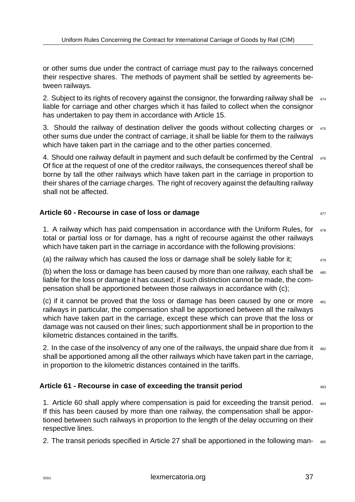or other sums due under the contract of carriage must pay to the railways concerned their respective shares. The methods of payment shall be settled by agreements between railways.

2. Subject to its rights of recovery against the consignor, the forwarding railway shall be  $474$ liable for carriage and other charges which it has failed to collect when the consignor has undertaken to pay them in accordance with Article 15.

3. Should the railway of destination deliver the goods without collecting charges or  $475$ other sums due under the contract of carriage, it shall be liable for them to the railways which have taken part in the carriage and to the other parties concerned.

4. Should one railway default in payment and such default be confirmed by the Central  $476$ Of fice at the request of one of the creditor railways, the consequences thereof shall be borne by tall the other railways which have taken part in the carriage in proportion to their shares of the carriage charges. The right of recovery against the defaulting railway shall not be affected.

## **Article 60 - Recourse in case of loss or damage 477**

1. A railway which has paid compensation in accordance with the Uniform Rules, for  $478$ total or partial loss or for damage, has a right of recourse against the other railways which have taken part in the carriage in accordance with the following provisions:

<span id="page-41-0"></span>(a) the railway which has caused the loss or damage shall be solely liable for it;  $\frac{479}{479}$ 

(b) when the loss or damage has been caused by more than one railway, each shall be  $\frac{480}{480}$ liable for the loss or damage it has caused; if such distinction cannot be made, the compensation shall be apportioned between those railways in accordance with (c);

(c) if it cannot be proved that the loss or damage has been caused by one or more  $481$ railways in particular, the compensation shall be apportioned between all the railways which have taken part in the carriage, except these which can prove that the loss or damage was not caused on their lines; such apportionment shall be in proportion to the kilometric distances contained in the tariffs.

2. In the case of the insolvency of any one of the railways, the unpaid share due from it  $482$ shall be apportioned among all the other railways which have taken part in the carriage, in proportion to the kilometric distances contained in the tariffs.

## **Article 61 - Recourse in case of exceeding the transit period** <sup>483</sup>

1. Article 60 shall apply where compensation is paid for exceeding the transit period. <sup>484</sup> If this has been caused by more than one railway, the compensation shall be apportioned between such railways in proportion to the length of the delay occurring on their respective lines.

<span id="page-41-1"></span>2. The transit periods specified in Article 27 shall be apportioned in the following man-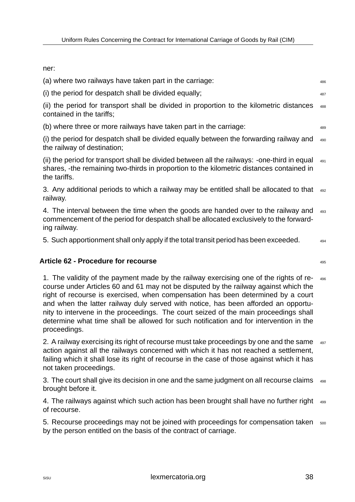ner:

| (a) where two railways have taken part in the carriage:                                                                                                                                                                                                                           | 486 |
|-----------------------------------------------------------------------------------------------------------------------------------------------------------------------------------------------------------------------------------------------------------------------------------|-----|
| (i) the period for despatch shall be divided equally;                                                                                                                                                                                                                             | 487 |
| (ii) the period for transport shall be divided in proportion to the kilometric distances<br>contained in the tariffs;                                                                                                                                                             | 488 |
| (b) where three or more railways have taken part in the carriage:                                                                                                                                                                                                                 | 489 |
| (i) the period for despatch shall be divided equally between the forwarding railway and<br>the railway of destination;                                                                                                                                                            | 490 |
| (ii) the period for transport shall be divided between all the railways: -one-third in equal<br>shares, -the remaining two-thirds in proportion to the kilometric distances contained in<br>the tariffs.                                                                          | 491 |
| 3. Any additional periods to which a railway may be entitled shall be allocated to that<br>railway.                                                                                                                                                                               | 492 |
| 4. The interval between the time when the goods are handed over to the railway and<br>commencement of the period for despatch shall be allocated exclusively to the forward-<br>ing railway.                                                                                      | 493 |
| 5. Such apportionment shall only apply if the total transit period has been exceeded.                                                                                                                                                                                             | 494 |
| <b>Article 62 - Procedure for recourse</b>                                                                                                                                                                                                                                        | 495 |
| 1. The validity of the payment made by the railway exercising one of the rights of re-<br>course under Articles 60 and 61 may not be disputed by the railway against which the<br>والمتار المستحدث والمستحقق والمتحامل والمتحاولة والمتحدث والمستحدث والمتحاول والمستحدث والمتاري | 496 |

<span id="page-42-0"></span>right of recourse is exercised, when compensation has been determined by a court and when the latter railway duly served with notice, has been afforded an opportunity to intervene in the proceedings. The court seized of the main proceedings shall determine what time shall be allowed for such notification and for intervention in the proceedings.

2. A railway exercising its right of recourse must take proceedings by one and the same 497 action against all the railways concerned with which it has not reached a settlement, failing which it shall lose its right of recourse in the case of those against which it has not taken proceedings.

3. The court shall give its decision in one and the same judgment on all recourse claims 498 brought before it.

4. The railways against which such action has been brought shall have no further right 499 of recourse.

5. Recourse proceedings may not be joined with proceedings for compensation taken  $\frac{500}{200}$ by the person entitled on the basis of the contract of carriage.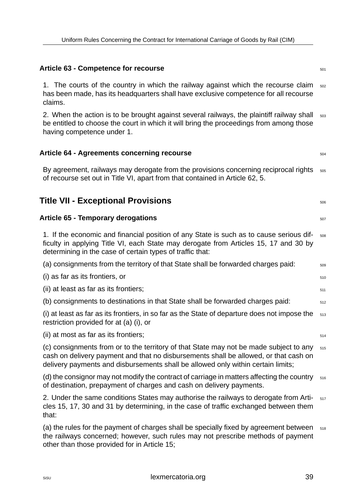#### **Article 63 - Competence for recourse**  $501$

1. The courts of the country in which the railway against which the recourse claim  $502$ has been made, has its headquarters shall have exclusive competence for all recourse claims.

<span id="page-43-0"></span>2. When the action is to be brought against several railways, the plaintiff railway shall  $\frac{503}{2}$ be entitled to choose the court in which it will bring the proceedings from among those having competence under 1.

#### Article 64 - Agreements concerning recourse **EXACTE 10 Article 64 - Agreements concerning recourse**

By agreement, railways may derogate from the provisions concerning reciprocal rights  $_{505}$ of recourse set out in Title VI, apart from that contained in Article 62, 5.

## <span id="page-43-1"></span>**Title VII - Exceptional Provisions** <sup>506</sup>

#### **Article 65 - Temporary derogations** 507 Section 2007 10 2007 10:00 Section 4:00 Section 4:00 Section 4:00 Section 4:00 Section 4:00 Section 4:00 Section 4:00 Section 4:00 Section 4:00 Section 4:00 Section 4:00 Section 4:0

<span id="page-43-2"></span>1. If the economic and financial position of any State is such as to cause serious dif- <sup>508</sup> ficulty in applying Title VI, each State may derogate from Articles 15, 17 and 30 by determining in the case of certain types of traffic that:

<span id="page-43-3"></span>(a) consignments from the territory of that State shall be forwarded charges paid: 509 (i) as far as its frontiers, or  $510$ 

(ii) at least as far as its frontiers;  $511$ 

(b) consignments to destinations in that State shall be forwarded charges paid:  $512$ 

(i) at least as far as its frontiers, in so far as the State of departure does not impose the  $_{513}$ restriction provided for at (a) (i), or

(ii) at most as far as its frontiers;  $514$ 

(c) consignments from or to the territory of that State may not be made subject to any  $_{515}$ cash on delivery payment and that no disbursements shall be allowed, or that cash on delivery payments and disbursements shall be allowed only within certain limits;

(d) the consignor may not modify the contract of carriage in matters affecting the country  $_{516}$ of destination, prepayment of charges and cash on delivery payments.

2. Under the same conditions States may authorise the railways to derogate from Arti-  $517$ cles 15, 17, 30 and 31 by determining, in the case of traffic exchanged between them that:

(a) the rules for the payment of charges shall be specially fixed by agreement between  $_{518}$ the railways concerned; however, such rules may not prescribe methods of payment other than those provided for in Article 15;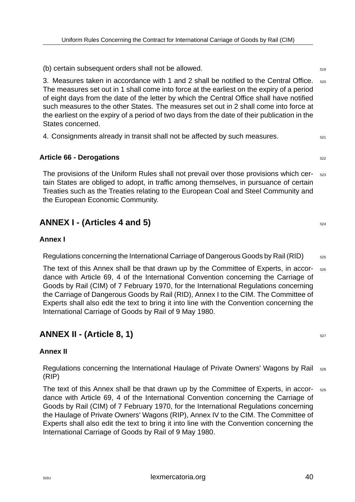(b) certain subsequent orders shall not be allowed.  $519$ 

3. Measures taken in accordance with 1 and 2 shall be notified to the Central Office.  $_{520}$ The measures set out in 1 shall come into force at the earliest on the expiry of a period of eight days from the date of the letter by which the Central Office shall have notified such measures to the other States. The measures set out in 2 shall come into force at the earliest on the expiry of a period of two days from the date of their publication in the States concerned.

4. Consignments already in transit shall not be affected by such measures.

## **Article 66 - Derogations** 522

The provisions of the Uniform Rules shall not prevail over those provisions which cer-<br><sub>523</sub> tain States are obliged to adopt, in traffic among themselves, in pursuance of certain Treaties such as the Treaties relating to the European Coal and Steel Community and the European Economic Community.

# <span id="page-44-0"></span>**ANNEX I - (Articles 4 and 5)** 524

## **Annex I**

Regulations concerning the International Carriage of Dangerous Goods by Rail (RID)  $\frac{1}{525}$ 

<span id="page-44-2"></span><span id="page-44-1"></span>The text of this Annex shall be that drawn up by the Committee of Experts, in accor- $_{526}$ dance with Article 69, 4 of the International Convention concerning the Carriage of Goods by Rail (CIM) of 7 February 1970, for the International Regulations concerning the Carriage of Dangerous Goods by Rail (RID), Annex I to the CIM. The Committee of Experts shall also edit the text to bring it into line with the Convention concerning the International Carriage of Goods by Rail of 9 May 1980.

# **ANNEX II - (Article 8, 1)** 527

#### **Annex II**

Regulations concerning the International Haulage of Private Owners' Wagons by Rail <sub>528</sub> (RIP)

The text of this Annex shall be that drawn up by the Committee of Experts, in accordance with Article 69, 4 of the International Convention concerning the Carriage of Goods by Rail (CIM) of 7 February 1970, for the International Regulations concerning the Haulage of Private Owners' Wagons (RIP), Annex IV to the CIM. The Committee of Experts shall also edit the text to bring it into line with the Convention concerning the International Carriage of Goods by Rail of 9 May 1980.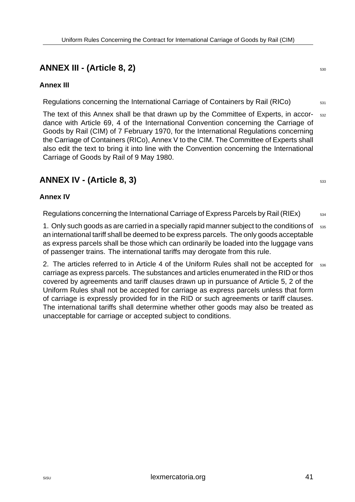# **ANNEX III - (Article 8, 2)** 530

#### **Annex III**

Regulations concerning the International Carriage of Containers by Rail (RICo)  $\frac{531}{531}$ 

<span id="page-45-1"></span><span id="page-45-0"></span>The text of this Annex shall be that drawn up by the Committee of Experts, in accor-  $532$ dance with Article 69, 4 of the International Convention concerning the Carriage of Goods by Rail (CIM) of 7 February 1970, for the International Regulations concerning the Carriage of Containers (RICo), Annex V to the CIM. The Committee of Experts shall also edit the text to bring it into line with the Convention concerning the International Carriage of Goods by Rail of 9 May 1980.

# **ANNEX IV - (Article 8, 3)** 533

## **Annex IV**

Regulations concerning the International Carriage of Express Parcels by Rail (RIEx)  $_{534}$ 

<span id="page-45-3"></span><span id="page-45-2"></span>1. Only such goods as are carried in a specially rapid manner subject to the conditions of  $\frac{535}{535}$ an international tariff shall be deemed to be express parcels. The only goods acceptable as express parcels shall be those which can ordinarily be loaded into the luggage vans of passenger trains. The international tariffs may derogate from this rule.

2. The articles referred to in Article 4 of the Uniform Rules shall not be accepted for  $_{536}$ carriage as express parcels. The substances and articles enumerated in the RID or thos covered by agreements and tariff clauses drawn up in pursuance of Article 5, 2 of the Uniform Rules shall not be accepted for carriage as express parcels unless that form of carriage is expressly provided for in the RID or such agreements or tariff clauses. The international tariffs shall determine whether other goods may also be treated as unacceptable for carriage or accepted subject to conditions.